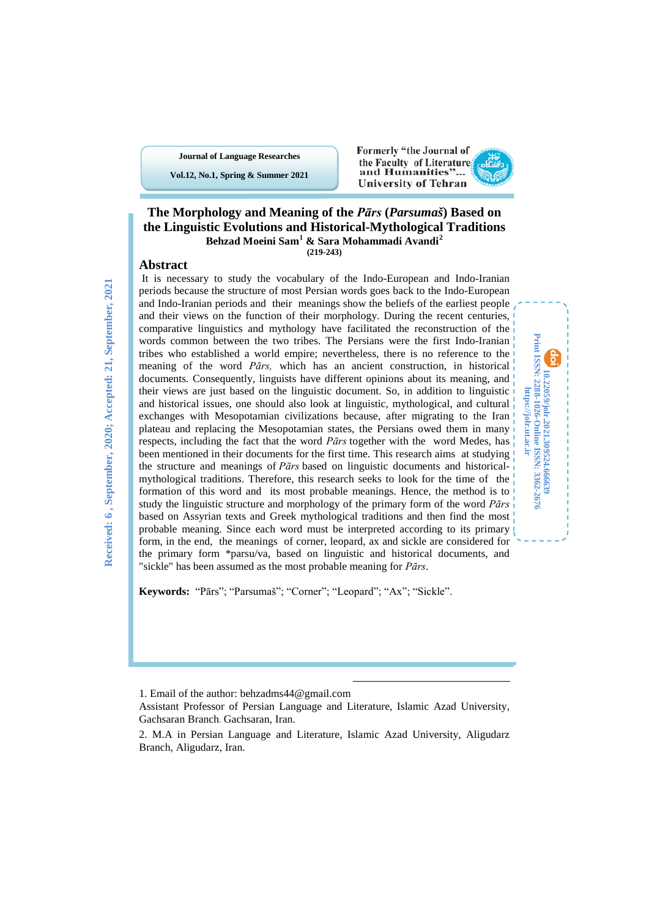**Journal of Language Researches**

**Vol.12, No.1, Spring & Summer 2021**

#### Formerly "the Journal of the Faculty of Literatures and Humanities"... **University of Tehran**

**10.22059/jolr.2021.309524.666639 Print ISSN: 2288-1026-Online ISSN: 3362-2676 https://jolr.ut.ac.ir**

Print ISSN: 2288-1026-Online ISSN: 3362-2676<br>https://jolr.ut.ac.ir 10.22059/johr.2021.309524.666639



### **Abstract**

It is necessary to study the vocabulary of the Indo-European and Indo-Iranian periods because the structure of most Persian words goes back to the Indo-European and Indo-Iranian periods and their meanings show the beliefs of the earliest people and their views on the function of their morphology. During the recent centuries, comparative linguistics and mythology have facilitated the reconstruction of the words common between the two tribes. The Persians were the first Indo-Iranian tribes who established a world empire; nevertheless, there is no reference to the meaning of the word *Pārs,* which has an ancient construction, in historical documents. Consequently, linguists have different opinions about its meaning, and their views are just based on the linguistic document. So, in addition to linguistic and historical issues, one should also look at linguistic, mythological, and cultural exchanges with Mesopotamian civilizations because, after migrating to the Iran plateau and replacing the Mesopotamian states, the Persians owed them in many respects, including the fact that the word *Pārs* together with the word Medes, has been mentioned in their documents for the first time. This research aims at studying the structure and meanings of *Pārs* based on linguistic documents and historicalmythological traditions. Therefore, this research seeks to look for the time of the formation of this word and its most probable meanings. Hence, the method is to study the linguistic structure and morphology of the primary form of the word *Pārs* based on Assyrian texts and Greek mythological traditions and then find the most probable meaning. Since each word must be interpreted according to its primary form, in the end, the meanings of corner, leopard, ax and sickle are considered for the primary form \*parsu/va, based on lin*g*uistic and historical documents, and "sickle" has been assumed as the most probable meaning for *Pārs*.

**Keywords:** "Pārs"; "Parsumaš"; "Corner"; "Leopard"; "Ax"; "Sickle".

**.** 

<sup>1.</sup> Email of the author: behzadms44@gmail.com

<span id="page-0-0"></span>Assistant Professor of Persian Language and Literature, Islamic Azad University, Gachsaran Branch. Gachsaran, Iran.

<span id="page-0-1"></span><sup>2.</sup> M.A in Persian Language and Literature, Islamic Azad University, Aligudarz Branch, Aligudarz, Iran.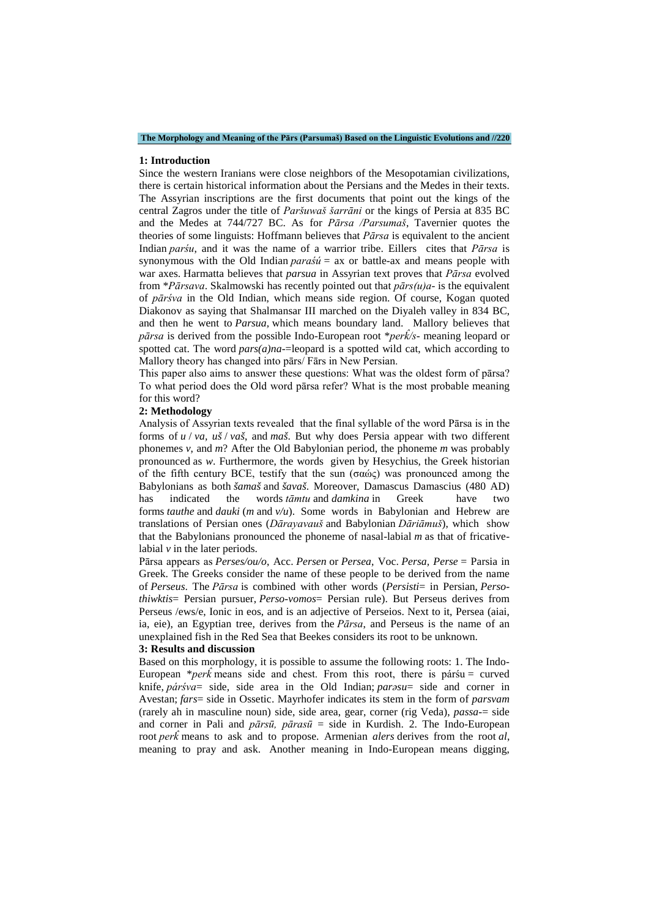**The Morphology and Meaning of the Pārs (Parsumaš) Based on the Linguistic Evolutions and //220**

#### **1: Introduction**

Since the western Iranians were close neighbors of the Mesopotamian civilizations, there is certain historical information about the Persians and the Medes in their texts. The Assyrian inscriptions are the first documents that point out the kings of the central Zagros under the title of *Paršuwaš šarrāni* or the kings of Persia at 835 BC and the Medes at 744/727 BC. As for *Pārsa /Parsumaš*, Tavernier quotes the theories of some linguists: Hoffmann believes that *Pārsa* is equivalent to the ancient Indian *parśu*, and it was the name of a warrior tribe. Eillers cites that *Pārsa* is synonymous with the Old Indian *paraśú* = ax or battle-ax and means people with war axes. Harmatta believes that *parsua* in Assyrian text proves that *Pārsa* evolved from \**Pārsava*. Skalmowski has recently pointed out that *pārs(u)a*- is the equivalent of *pārśva* in the Old Indian, which means side region. Of course, Kogan quoted Diakonov as saying that Shalmansar III marched on the Diyaleh valley in 834 BC, and then he went to *Parsua,* which means boundary land. Mallory believes that *pārsa* is derived from the possible Indo-European root \**perk̂ /s*- meaning leopard or spotted cat. The word  $pars(a)na$ -leopard is a spotted wild cat, which according to Mallory theory has changed into pārs/ Fārs in New Persian.

This paper also aims to answer these questions: What was the oldest form of pārsa? To what period does the Old word pārsa refer? What is the most probable meaning for this word?

#### **2: Methodology**

Analysis of Assyrian texts revealed that the final syllable of the word Pārsa is in the forms of *u* / *va, uš* / *vaš*, and *maš*. But why does Persia appear with two different phonemes *v*, and *m*? After the Old Babylonian period, the phoneme *m* was probably pronounced as *w*. Furthermore, the words given by Hesychius, the Greek historian of the fifth century BCE, testify that the sun  $(\sigma \alpha \dot{\omega} \zeta)$  was pronounced among the Babylonians as both *šamaš* and *šavaš*. Moreover, Damascus Damascius (480 AD) has indicated the words *tāmtu* and *damkina* in Greek have two forms *tauthe* and *dauki* (*m* and *v/u*). Some words in Babylonian and Hebrew are translations of Persian ones (*Dārayavauš* and Babylonian *Dāriāmuš*), which show that the Babylonians pronounced the phoneme of nasal-labial *m* as that of fricativelabial *v* in the later periods.

Pārsa appears as *Perses/ou/o*, Acc. *Persen* or *Persea*, Voc. *Persa, Perse* = Parsia in Greek. The Greeks consider the name of these people to be derived from the name of *Perseus*. The *Pārsa* is combined with other words (*Persisti*= in Persian, *Persothiwktis*= Persian pursuer, *Perso-vomos*= Persian rule). But Perseus derives from Perseus /ews/e, Ionic in eos, and is an adjective of Perseios. Next to it, Persea (aiai, ia, eie), an Egyptian tree, derives from the *Pārsa*, and Perseus is the name of an unexplained fish in the Red Sea that Beekes considers its root to be unknown.

### **3: Results and discussion**

Based on this morphology, it is possible to assume the following roots: 1. The Indo-European \* $per\hat{k}$  means side and chest. From this root, there is pársu = curved knife, *párśva*= side, side area in the Old Indian; *parəsu*= side and corner in Avestan; *fars*= side in Ossetic. Mayrhofer indicates its stem in the form of *parsvam* (rarely ah in masculine noun) side, side area, gear, corner (rig Veda), *passa-*= side and corner in Pali and *pārsū, pārasū* = side in Kurdish. 2. The Indo-European root *perk̂*means to ask and to propose. Armenian *alers* derives from the root *al*, meaning to pray and ask. Another meaning in Indo-European means digging,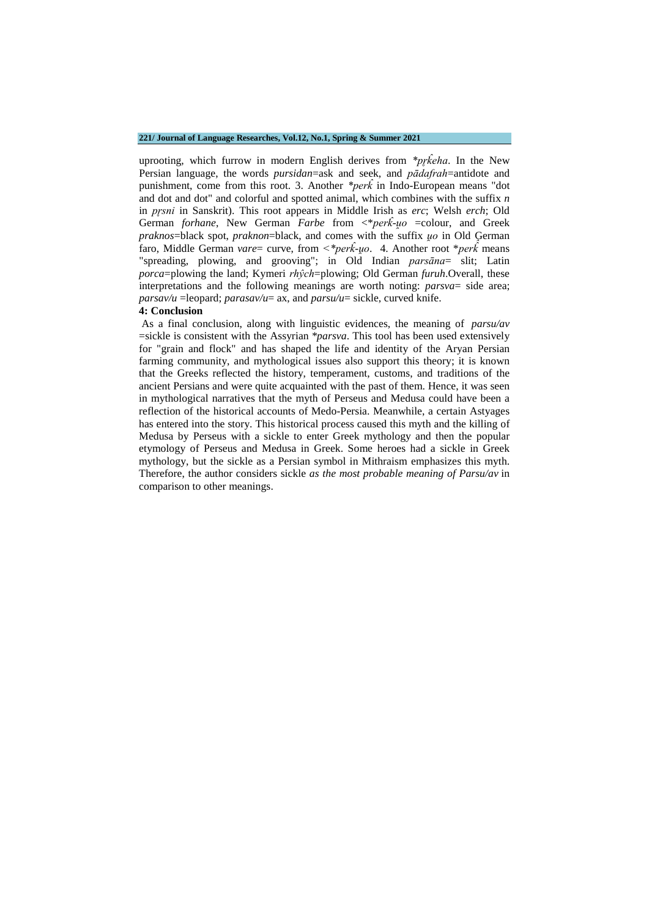#### **221/ Journal of Language Researches, Vol.12, No.1, Spring & Summer 2021**

uprooting, which furrow in modern English derives from *\*pr̥k̂ eha*. In the New Persian language, the words *pursidan*=ask and seek, and *pādafrah*=antidote and punishment, come from this root. 3. Another *\*perk̂* in Indo-European means "dot and dot and dot" and colorful and spotted animal, which combines with the suffix *n* in *pr̥sni* in Sanskrit). This root appears in Middle Irish as *erc*; Welsh *erch*; Old German *forhane*, New German *Farbe* from <\**perk-uo* =colour, and Greek *praknos*=black spot, *praknon*=black, and comes with the suffix *u̯o* in Old German faro, Middle German *vare*= curve, from  $\lt^*per\hat{k}$ -*uo*. 4. Another root  $\neq$  *perk*<sup> $\uparrow$ </sup> means "spreading, plowing, and grooving"; in Old Indian *parsāna*= slit; Latin *porca*=plowing the land; Kymeri *rhŷch*=plowing; Old German *furuh*.Overall, these interpretations and the following meanings are worth noting: *parsva*= side area; *parsav/u* = leopard; *parasav/u*= ax, and *parsu/u*= sickle, curved knife.

### **4: Conclusion**

As a final conclusion, along with linguistic evidences, the meaning of *parsu/av* =sickle is consistent with the Assyrian *\*parsva*. This tool has been used extensively for "grain and flock" and has shaped the life and identity of the Aryan Persian farming community, and mythological issues also support this theory; it is known that the Greeks reflected the history, temperament, customs, and traditions of the ancient Persians and were quite acquainted with the past of them. Hence, it was seen in mythological narratives that the myth of Perseus and Medusa could have been a reflection of the historical accounts of Medo-Persia. Meanwhile, a certain Astyages has entered into the story. This historical process caused this myth and the killing of Medusa by Perseus with a sickle to enter Greek mythology and then the popular etymology of Perseus and Medusa in Greek. Some heroes had a sickle in Greek mythology, but the sickle as a Persian symbol in Mithraism emphasizes this myth. Therefore, the author considers sickle *as the most probable meaning of Parsu/av* in comparison to other meanings.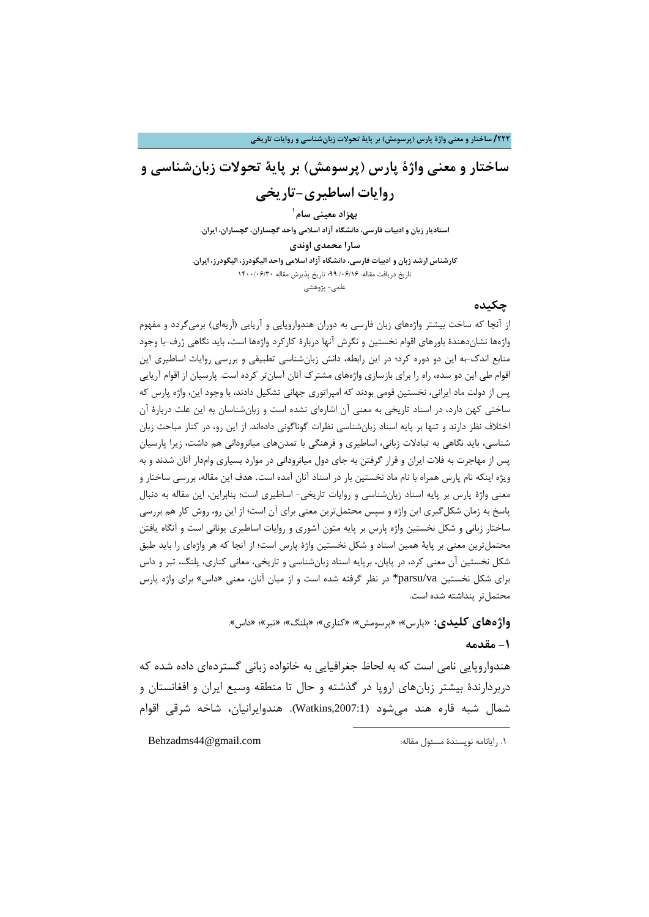## **ساختار و معنی واژة پارس (پرسومش) بر پایۀ تحولات زبانشناسی و روایات اساطیري-تاریخی**

**1 بهزاد معینی سام استادیار زبان [و](#page-3-0) ادبیات فارسی، دانشگاه آزاد اسلامی واحد گچساران، گچساران، ایران. سارا محمدي اوندي کارشناس ارشد زبان و ادبیات فارسی، دانشگاه آزاد اسلامی واحد الیگودرز، الیگودرز، ایران.** تاریخ دریافت مقاله: 14/06/169؛ تاریخ پذیرش مقاله ١۴٠٠/٠۶/٣٠ علمی- پژوهشی

## **چکیده**

از آنجا که ساخت بیشتر واژههاي زبان فارسی به دوران هندواروپایی و آریایی (اَریهاي) برمیگردد و مفهوم واژهها نشاندهندة باورهاي اقوام نخستین و نگرش آنها دربارة کارکرد واژهها است، باید نگاهی ژرف-با وجود منابع اندك-به این دو دوره کرد؛ در این رابطه، دانش زبانشناسی تطبیقی و بررسی روایات اساطیري این اقوام طی این دو سده، راه را براي بازسازي واژههاي مشترك آنان آسانتر کرده است. پارسیان از اقوام آریایی پس از دولت ماد ایرانی، نخستین قومی بودند که امپراتوري جهانی تشکیل دادند، با وجود این، واژه پارس که ساختی کهن دارد، در اسناد تاریخی به معنی آن اشارهاي نشده است و زبانشناسان به این علت دربارة آن اختلاف نظر دارند و تنها بر پایه اسناد زبانشناسی نظرات گوناگونی دادهاند. از این رو، در کنار مباحث زبان شناسی، باید نگاهی به تبادلات زبانی، اساطیري و فرهنگی با تمدنهاي میانرودانی هم داشت، زیرا پارسیان پس از مهاجرت به فلات ایران و قرار گرفتن به جاي دول میانرودانی در موارد بسیاري وامدار آنان شدند و به ویژه اینکه نام پارس همراه با نام ماد نخستین بار در اسناد آنان آمده است. هدف این مقاله، بررسی ساختار و معنی واژة پارس بر پایه اسناد زبانشناسی و روایات تاریخی- اساطیري است؛ بنابراین، این مقاله به دنبال پاسخ به زمان شکلگیري این واژه و سپس محتملترین معنی براي آن است؛ از این رو، روش کار هم بررسی ساختار زبانی و شکل نخستین واژه پارس بر پایه متون آشوري و روایات اساطیري یونانی است و آنگاه یافتن محتملترین معنی بر پایۀ همین اسناد و شکل نخستین واژة پارس است؛ از آنجا که هر واژهاي را باید طبق شکل نخستین آن معنی کرد، در پایان، برپایه اسناد زبانشناسی و تاریخی، معانی کناري، پلنگ، تبر و داس براي شکل نخستین va/parsu \*در نظر گرفته شده است و از میان آنان، معنی «داس» براي واژه پارس محتمل تر پنداشته شده است.

**واژههاي کلیدي:** «پارس»؛ «پرسومش»؛ «کناري»؛ «پلنگ»؛ «تبر»؛ «داس».

**.** 

## **-1 مقدمه**

هندواروپایی نامی است که به لحاظ جغرافیایی به خانواده زبانی گستردهاي داده شده که دربردارندة بیشتر زبانهاي اروپا در گذشته و حال تا منطقه وسیع ایران و افغانستان و شمال شبه قاره هند میشود (,2007:1Watkins(. هندوایرانیان، شاخه شرقی اقوام

<span id="page-3-0"></span>1. رایانامه نویسندهٔ مسئول مقاله:  $\blacksquare$ Behzadms44@gmail.com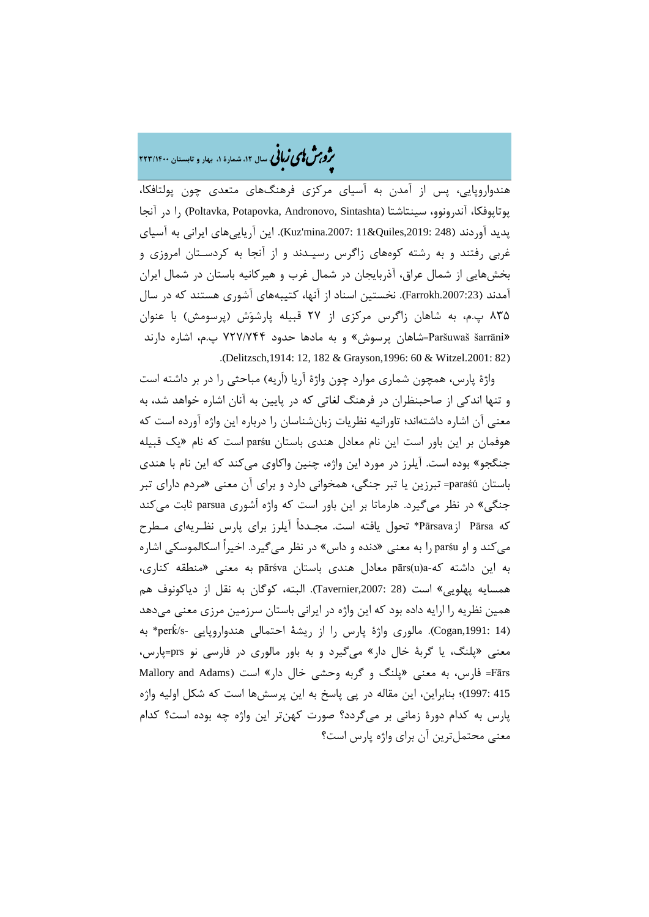�ی زبا **، سال ،12 شمارة ،1 بهار و تابستان 223/1400** � �و ی �ش

هندواروپایی، پس از آمدن به آسیاي مرکزي فرهنگهاي متعدي چون پولتافکا، پوتاپوفکا، آندرونوو، سینتاشتا (Sintashta ,Andronovo ,Potapovka ,Poltavka (را در آنجا پدید آوردند (248 ,2019:Euz'mina.2007: 11&Quiles وردند (248 .2019 . این آریایی های ایرانی به آسیای غربی رفتند و به رشته کوههاي زاگرس رسیـدند و از آنجا به کردسـتان امروزي و بخشهایی از شمال عراق، آذربایجان در شمال غرب و هیرکانیه باستان در شمال ایران آمدند (.2007:23Farrokh(. نخستین اسناد از آنها، کتیبههاي آشوري هستند که در سال 835 پ.م، به شاهان زاگرس مرکزي از 27 قبیله پارشوش (پرسومش) با عنوان «šarrāni Paršuwaš=شاهان پرسوش» و به مادها حدود 727/744 پ.م، اشاره دارند .(Delitzsch,1914: 12, 182 & Grayson,1996: 60 & Witzel.2001: 82)

واژة پارس، همچون شماري موارد چون واژة آریا (اَریه) مباحثی را در بر داشته است و تنها اندکی از صاحبنظران در فرهنگ لغاتی که در پایین به آنان اشاره خواهد شد، به معنی آن اشاره داشتهاند؛ تاورانیه نظریات زبانشناسان را درباره این واژه آورده است که هوفمان بر این باور است این نام معادل هندي باستان parśu است که نام «یک قبیله جنگجو» بوده است. آیلرز در مورد این واژه، چنین واکاوي می *ک*ند که این نام با هندي باستان paraśú =تبرزین یا تبر جنگی، همخوانی دارد و براي آن معنی «مردم داراي تبر جنگی» در نظر میگیرد. هارماتا بر این باور است که واژه اَشوري parsua ثابت میکند که Pārsa ازPārsava \*تحول یافته است. مجـدداً آیلرز براي پارس نظـریهاي مـطرح میکند و او parśu را به معنی «دنده و داس» در نظر میگیرد. اخیراً اسکالموسکی اشاره به این داشته که-a)u(pārs معادل هندي باستان pārśva به معنی «منطقه کناري، همسایه پهلویی» است (28 ,2007:Tavernier(. البته، کوگان به نقل از دیاکونوف هم همین نظریه را ارایه داده بود که این واژه در ایرانی باستان سرزمین مرزي معنی میدهد (Cogan,1991: 14). مالوری واژهٔ پارس را از ریشهٔ احتمالی هندواروپایی -perk/s\* به معنی «پلنگ، یا گربۀ خال دار» میگیرد و به باور مالوري در فارسی نو prs=پارس، Fārs = فارس، به معنی «پلنگ و گربه وحشی خال دار» است (Mallory and Adams 415 1997:)؛ بنابراین، این مقاله در پی پاسخ به این پرسشها است که شکل اولیه واژه پارس به کدام دورة زمانی بر میگردد؟ صورت کهنتر این واژه چه بوده است؟ کدام معنی محتملترین آن براي واژه پارس است؟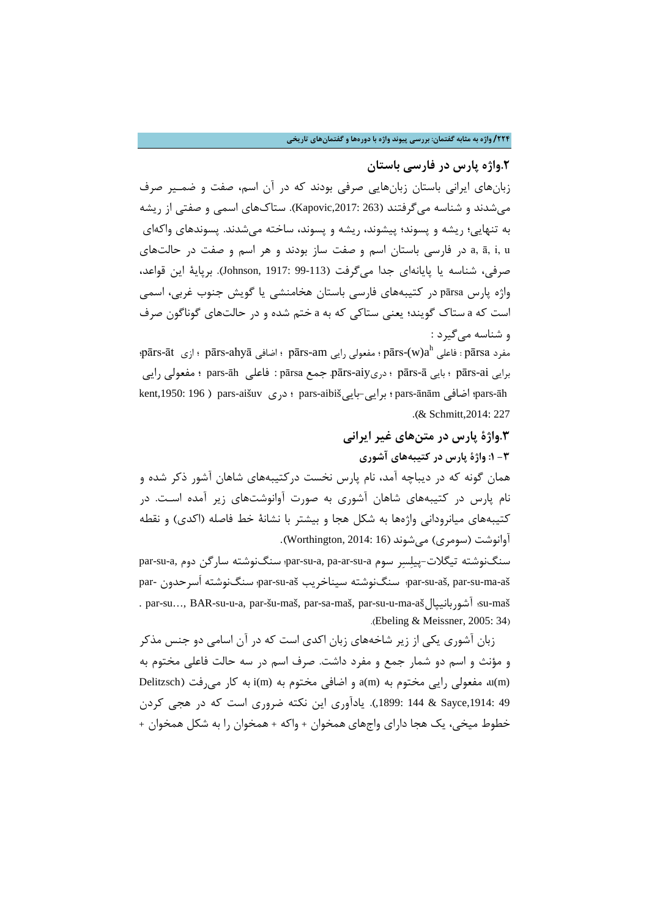### **/224 واژه به مثابه گفتمان: بررسی پیوند واژه با دورهها و گفتمانهاي تاریخی**

**.2واژه پارس در فارسی باستان**

زبانهاي ایرانی باستان زبانهایی صرفی بودند که در آن اسم، صفت و ضمـیر صرف میشدند و شناسه میگرفتند (263 ,2017:Kapovic(. ستاكهاي اسمی و صفتی از ریشه به تنهایی؛ ریشه و پسوند؛ پیشوند، ریشه و پسوند، ساخته میشدند. پسوندهاي واکهاي u ,i ,ā ,a در فارسی باستان اسم و صفت ساز بودند و هر اسم و صفت در حالتهاي صرفی، شناسه یا پایانهاي جدا میگرفت (99-113 1917: ,Johnson(. برپایۀ این قواعد، واژه پارس pārsa در کتیبههاي فارسی باستان هخامنشی یا گویش جنوب غربی، اسمی است که a ستاك گویند؛ یعنی ستاکی که به a ختم شده و در حالتهاي گوناگون صرف و شناسه میگیرد :

 $\bar{\rm g}$ ārs-āt ؛ فاعلی  $\bar{\rm g}$ ārs- $\sin$  ؛ مفعولی رایی pārs-am اضافی ، pārs-ahyā ازی  $\bar{\rm g}$ ārsa ؛ برایی ai-pārs ؛ بایی ā-pārs ؛ دريaiy-pārs. جمع pārsa : فاعلی āh-pars ؛ مفعولی رایی kent,1950: 196 ) pars-aišuv دري ؛ pars-aibišبایی-برایی ؛ pars-ānām اضافی ؛pars-āh .(& Schmitt,2014: 227

**.3واژة پارس در متنهاي غیر ایرانی -3 :1 واژة پارس در کتیبههاي آشوري** همان گونه که در دیباچه آمد، نام پارس نخست درکتیبههاي شاهان آشور ذکر شده و نام پارس در کتیبههاي شاهان آشوري به صورت آوانوشتهاي زیر آمده اسـت. در کتیبههاي میانرودانی واژهها به شکل هجا و بیشتر با نشانۀ خط فاصله (اکدي) و نقطه آوانوشت (سومري) مے شوند (Worthington, 2014: 16).

par-su-a, منگنوشته تیگلات-ییلسر سوم par-su-a, pa-ar-su-a, pa-ar-su-a سنگنوشته سار par- سرحدونَا سنگنوشته ؛par-su-aš سیناخریب سنگنوشته ؛par-su-aš, par-su-ma-aš . par-su…, BAR-su-u-a, par-šu-maš, par-sa-maš, par-su-u-ma-ašآشوربانیپال ؛su-maš .(Ebeling & Meissner, 2005: 34)

زبان آشوري یکی از زیر شاخههاي زبان اکدي است که در آن اسامی دو جنس مذکر و مؤنث و اسم دو شمار جمع و مفرد داشت. صرف اسم در سه حالت فاعلی مختوم به Delitzsch) مفعولی رایی مختوم به  $a(m)$  و اضافی مختوم به  $i(m)$ i به کار می فت $u(m)$ 49 ,1914:Sayce & 144 ,1899:(. یادآوري این نکته ضروري است که در هجی کردن خطوط میخی، یک هجا داراي واجهاي همخوان + واکه + همخوان را به شکل همخوان +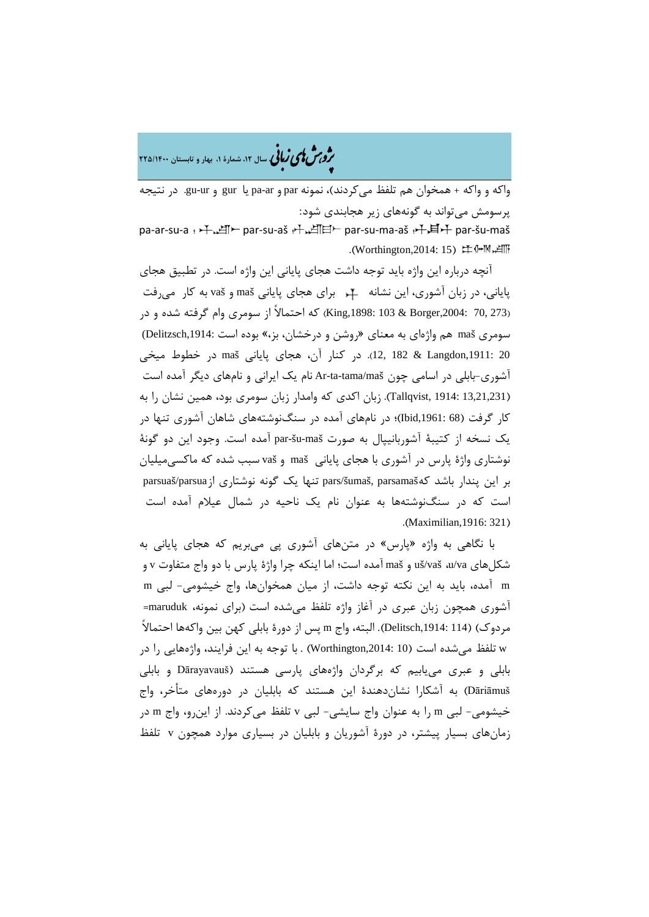ه<br>مر*ق من نامی زبا*نی سال ۱۲، شمارهٔ ۱، بهار و تابستان ۲۲۵/۱۴۰۰

واکه و واکه + همخوان هم تلفظ میکردند)، نمونه par و ar-pa یا gur و ur-gu. در نتیجه پرسومش میتواند به گونههاي زیر هجابندي شود: pa-ar-su-a : 千、凶一 par-su-aš 斗、凶曰一 par-su-ma-aš 斗,耳升 par-šu-maš .(Worthington,2014: 15) 注 HM

آنچه درباره این واژه باید توجه داشت هجاي پایانی این واژه است. در تطبیق هجاي پایانی، در زبان آشوري، این نشانه براي هجاي پایانی maš و vaš به کار میرفت (273 King,1898: 103 & Borger,2004: 70, 73 كه احتمالاً از سومري وام گرفته شده و در سومري maš هم واژهاي به معناي «روشن و درخشان، بز،» بوده است ,1914:Delitzsch( 20 ,1911:Langdon & 182 12,(. در کنار آن، هجاي پایانی maš در خطوط میخی آشوري-بابلی در اسامی چون maš/tama-ta-Ar نام یک ایرانی و نامهاي دیگر آمده است (13,21,231 1914: ,Tallqvist(. زبان اکدي که وامدار زبان سومري بود، همین نشان را به کار گرفت (68 ,1961:Ibid(؛ در نامهاي آمده در سنگنوشتههاي شاهان آشوري تنها در یک نسخه از کتیبۀ آشوربانیپال به صورت maš-šu-par آمده است. وجود این دو گونۀ نوشتاري واژة پارس در آشوري با هجاي پایانی maš و vaš سبب شده که ماکسیمیلیان بر این پندار باشد کهparsamaš ,šumaš/pars تنها یک گونه نوشتاري ازparsua/parsuaš است که در سنگنوشتهها به عنوان نام یک ناحیه در شمال عیلام آمده است .(Maximilian,1916: 321)

با نگاهی به واژه «پارس» در متنهاي آشوري پی میبریم که هجاي پایانی به شکلهاي va/u، vaš/uš و maš آمده است؛ اما اینکه چرا واژة پارس با دو واج متفاوت v و m آمده، باید به این نکته توجه داشت، از میان همخوانها، واج خیشومی- لبی m آشوري همچون زبان عبري در آغاز واژه تلفظ میشده است (براي نمونه، maruduk= مردوك) (114 ,1914:Delitsch(. البته، واج m پس از دورة بابلی کهن بین واکهها احتمالاً w تلفظ میشده است (10 ,2014:Worthington (. با توجه به این فرایند، واژههایی را در بابلی و عبري مییابیم که برگردان واژههاي پارسی هستند (Dārayavauš و بابلی Dāriāmuš (به آشکارا نشاندهندة این هستند که بابلیان در دورههاي متأخر، واج خیشومی- لبی m را به عنوان واج سایشی- لبی v تلفظ میکردند. از اینرو، واج m در زمانهاي بسیار پیشتر، در دورة آشوریان و بابلیان در بسیاري موارد همچون v تلفظ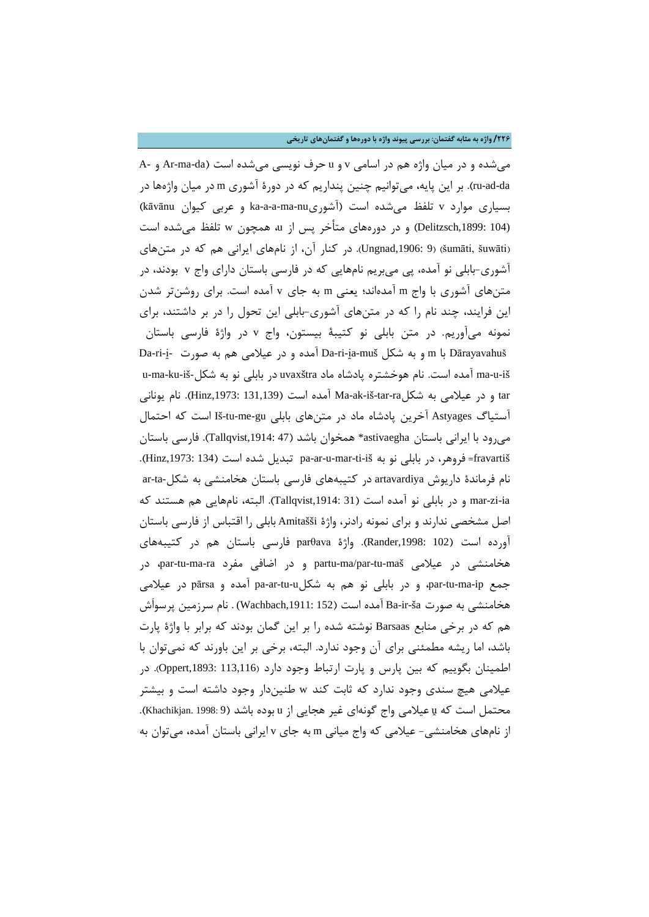**/226 واژه به مثابه گفتمان: بررسی پیوند واژه با دورهها و گفتمانهاي تاریخی**

میشده و در میان واژه هم در اسامی v و u حرف نویسی میشده است (da-ma-Ar و -A da-ad-ru(. بر این پایه، میتوانیم چنین پنداریم که در دورة آشوري m در میان واژهها در بسیاري موارد v تلفظ میشده است (آشوريnu-ma-a-a-ka و عربی کیوان kāvānu ( (104 ,1899:Delitzsch (و در دورههاي متأخر پس از u، همچون w تلفظ میشده است (Ungnad,1906: 9) (8 .jpad). در کنار آن، از نامهاي ایرانی هم که در متنهاي آشوري-بابلی نو آمده، پی میبریم نامهایی که در فارسی باستان داراي واج v بودند، در متنهاي آشوري با واج m آمدهاند؛ یعنی m به جاي v آمده است. براي روشنتر شدن این فرایند، چند نام را که در متنهاي آشوري-بابلی این تحول را در بر داشتند، براي نمونه میآوریم. در متن بابلی نو کتیبۀ بیستون، واج v در واژة فارسی باستان Da-ri-i̯a-muš با m و به شکل Da-ri-ja-muš آمده و در عیلامی هم به صورت pa-ri-ju-ma-ku-iš- آمده است. نام هوخشتره پادشاه ماد uvaxštra در بابلی نو به شکل-u-ma-ku-iš tar و در عیلامی به شکلta-tar-ra آمده است (131,139 :Hinz,1973). نام یونانی آستیاگ Astyages آخرین پادشاه ماد در متنهاي بابلی gu-me-tu-Iš است که احتمال میرود با ایرانی باستان astivaegha \*همخوان باشد (47 ,1914:Tallqvist(. فارسی باستان fravartiš =فروهر، در بابلی نو به ifinz,1973: 134 pa-ar-u-mar-ti-iš تبدیل شده است (134 ,Hinz,1973: 134 نام فرماندة داریوش artavardiya در کتیبههاي فارسی باستان هخامنشی به شکل-ta-ar ia-zi-mar و در بابلی نو آمده است (31 ,1914:Tallqvist(. البته، نامهایی هم هستند که اصل مشخصی ندارند و براي نمونه رادنر، واژة Amitašši بابلی را اقتباس از فارسی باستان آورده است (102 ,1998:Rander(. واژة parθava فارسی باستان هم در کتیبههاي هخامنشی در عیلامی par-tu-ma $\phi$ partu-ma $\phi$ partu-maš در اضافی مفرد par-tu-ma-ra در جمع ip-ma-tu-par، و در بابلی نو هم به شکلu-tu-ar-pa آمده و pārsa در عیلامی هخامنشی به صورت ša-ir-Ba آمده است (152 ,1911:Wachbach (. نام سرزمین پرسواَش هم که در برخی منابع Barsaas نوشته شده را بر این گمان بودند که برابر با واژة پارت باشد، اما ریشه مطمئنی براي آن وجود ندارد. البته، برخی بر این باورند که نمیتوان با اطمینان بگوییم که بین پارس و پارت ارتباط وجود دارد (113,116 :Oppert,1893: عیلامی هیچ سندي وجود ندارد که ثابت کند w طنیندار وجود داشته است و بیشتر محتمل است که µ عیلامی واج گونهای غیر هجایی از u بوده باشد (8 :Khachikjan. 1998). از نامهاي هخامنشی- عیلامی که واج میانی m به جاي v ایرانی باستان آمده، میتوان به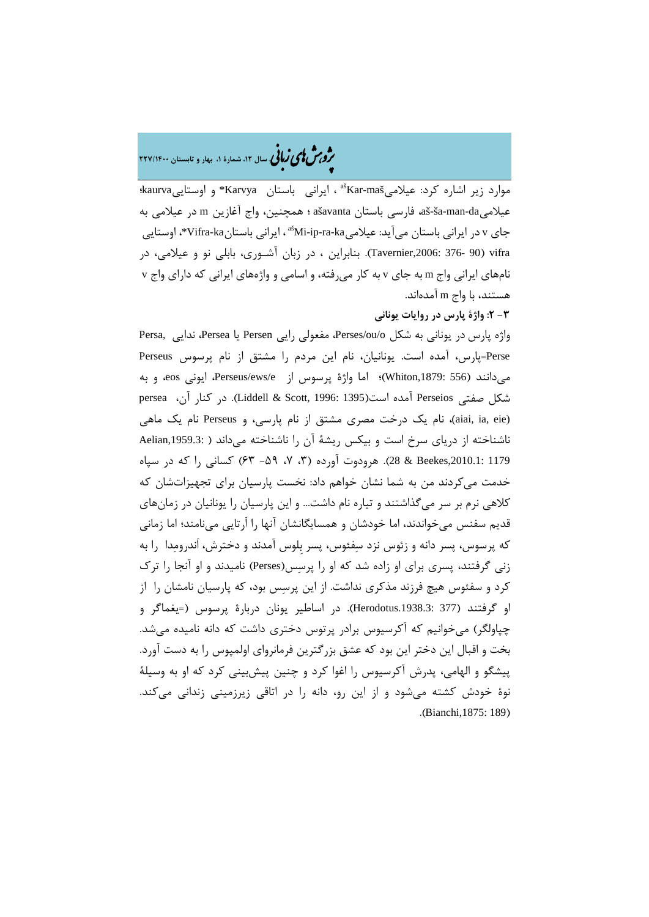�ی زبا **، سال ،12 شمارة ،1 بهار و تابستان 227/1400** � �و ی �ش

maš-Kar ، ایرانی باستان Karvya \*و اوستاییkaurva؛ aš موارد زیر اشاره کرد: عیلامی عیلامیda-man-ša-aš، فارسی باستان ašavanta ؛ همچنین، واج آغازین m در عیلامی به جای v در ایرانی باستان می آید: عیلامی $\kappa$ ašMi-ip-ra-ka-خای vifra-ka-جای v در ایرانی باستان vifra) 90 376- ,2006:Tavernier(. بنابراین ، در زبان آشـوري، بابلی نو و عیلامی، در نامهاي ایرانی واج m به جاي v به کار میرفته، و اسامی و واژههاي ایرانی که داراي واج v هستند، با واج m آمدهاند.

## **-3 :2 واژة پارس در روایات یونانی**

واژه پارس در یونانی به شکل o/ou/Perses، مفعولی رایی Persen یا Persea، ندایی ,Persa Perse=پارس، آمده است. یونانیان، نام این مردم را مشتق از نام پرسوس Perseus میدانند (556 ,1879:Whiton(؛ اما واژة پرسوس از e/ews/Perseus، ایونی eos، و به شکل صفتی Perseios آمده است(1395 1996: ,Scott & Liddell(. در کنار آن، persea (aiai, ia, eie)، نام یک درخت مصری مشتق از نام پارسی، و Perseus نام یک ماهی ناشناخته از دریاي سرخ است و بیکس ریشۀ آن را ناشناخته میداند ( ,1959.3:Aelian 1179 ,2010.1:Beekes & 28(. هرودوت آورده (،3 ،7 -59 63) کسانی را که در سپاه خدمت میکردند من به شما نشان خواهم داد: نخست پارسیان براي تجهیزاتشان که کلاهی نرم بر سر میگذاشتند و تیاره نام داشت... و این پارسیان را یونانیان در زمانهاي قدیم سفنس میخواندند، اما خودشان و همسایگانشان آنها را اَرتایی مینامند؛ اما زمانی که پرسوس، پسر دانه و زئوس نزد سفئوس، پسر بِلوس آمدند و دخترش، اَندرومدا را به زنی گرفتند، پسري براي او زاده شد که او را پرسس(Perses (نامیدند و او آنجا را ترك کرد و سفئوس هیچ فرزند مذکري نداشت. از این پرسس بود، که پارسیان نامشان را از او گرفتند (377 .1938.3:Herodotus(. در اساطیر یونان دربارة پرسوس (=یغماگر و چپاولگر) میخوانیم که آکرسیوس برادر پرتوس دختري داشت که دانه نامیده میشد. بخت و اقبال این دختر این بود که عشق بزرگترین فرمانرواي اولمپوس را به دست آورد. پیشگو و الهامی، پدرش آکرسیوس را اغوا کرد و چنین پیشبینی کرد که او به وسیلۀ نوة خودش کشته میشود و از این رو، دانه را در اتاقی زیرزمینی زندانی میکند. .(Bianchi,1875: 189)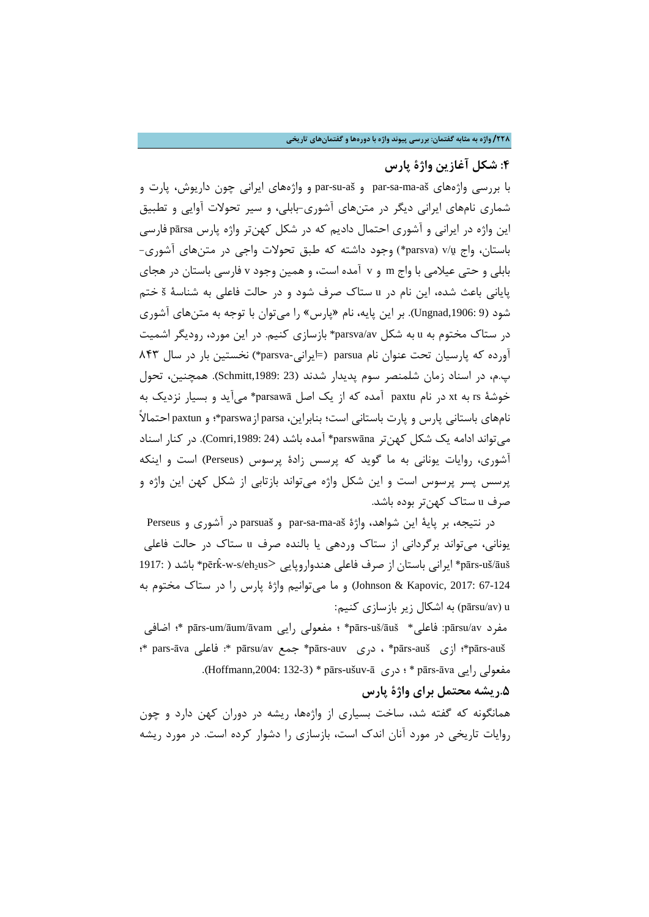## **:4 شکل آغازین واژة پارس**

با بررسی واژههاي aš-ma-sa-par و aš-su-par و واژههاي ایرانی چون داریوش، پارت و شماري نامهاي ایرانی دیگر در متنهاي آشوري-بابلی، و سیر تحولات آوایی و تطبیق این واژه در ایرانی و آشوري احتمال دادیم که در شکل کهنتر واژه پارس pārsa فارسی باستان، واج ṷ/v) parsva (\*وجود داشته که طبق تحولات واجی در متنهاي آشوري- بابلی و حتی عیلامی با واج m و v آمده است، و همین وجود v فارسی باستان در هجاي پایانی باعث شده، این نام در u ستاك صرف شود و در حالت فاعلی به شناسۀ š ختم شود (9 ,1906:Ungnad(. بر این پایه، نام «پارس» را میتوان با توجه به متنهاي آشوري در ستاك مختوم به u به شکل av/parsva \*بازسازي کنیم. در این مورد، رودیگر اشمیت آورده که پارسیان تحت عنوان نام parsua=) ایرانی-parsva (\*نخستین بار در سال 843 پ.م، در اسناد زمان شلمنصر سوم پدیدار شدند (23 ,1989:Schmitt(. همچنین، تحول خوشۀ rs به xt در نام paxtu آمده که از یک اصل parsawā \*میآید و بسیار نزدیک به نامهاي باستانی پارس و پارت باستانی است؛ بنابراین، parsa ازparswa\*؛ و paxtun احتمالاً میتواند ادامه یک شکل کهنتر parswāna \*آمده باشد (24 ,1989:Comri(. در کنار اسناد آشوري، روایات یونانی به ما گوید که پرسس زادة پرسوس (Perseus (است و اینکه پرسس پسر پرسوس است و این شکل واژه میتواند بازتابی از شکل کهن این واژه و صرف u ستاك کهنتر بوده باشد.

در نتیجه، بر پایۀ این شواهد، واژة aš-ma-sa-par و parsuaš در آشوري و Perseus یونانی، میتواند برگردانی از ستاك وردهی یا بالنده صرف u ستاك در حالت فاعلی \*pērk > هندواروپایی فاعلی صرف از باستان ایرانی\* pārs-uš/āuš ̂ 1917: ) باشد -w-s/eh2us 67-124 2017: ,Kapovic & Johnson (و ما میتوانیم واژة پارس را در ستاك مختوم به u) av/pārsu (به اشکال زیر بازسازي کنیم:

اضافی ؛ \*pārs-um/āum/āvam رایی مفعولی ؛\* pārs-uš/āuš \*فاعلی :pārsu/av مفرد ؛ \*pars-āva فاعلی : \*pārsu/av جمع\* pārs-auv دري ،\* pārs-auš ازي ؛\*pārs-auš .(Hoffmann,2004: 132-3) \* pārs-ušuv-ā دری قسمولی رایی Hoffmann,2004: 132-3)

## **.5ریشه محتمل براي واژة پارس**

همانگونه که گفته شد، ساخت بسیاري از واژهها، ریشه در دوران کهن دارد و چون روایات تاریخی در مورد آنان اندك است، بازسازي را دشوار کرده است. در مورد ریشه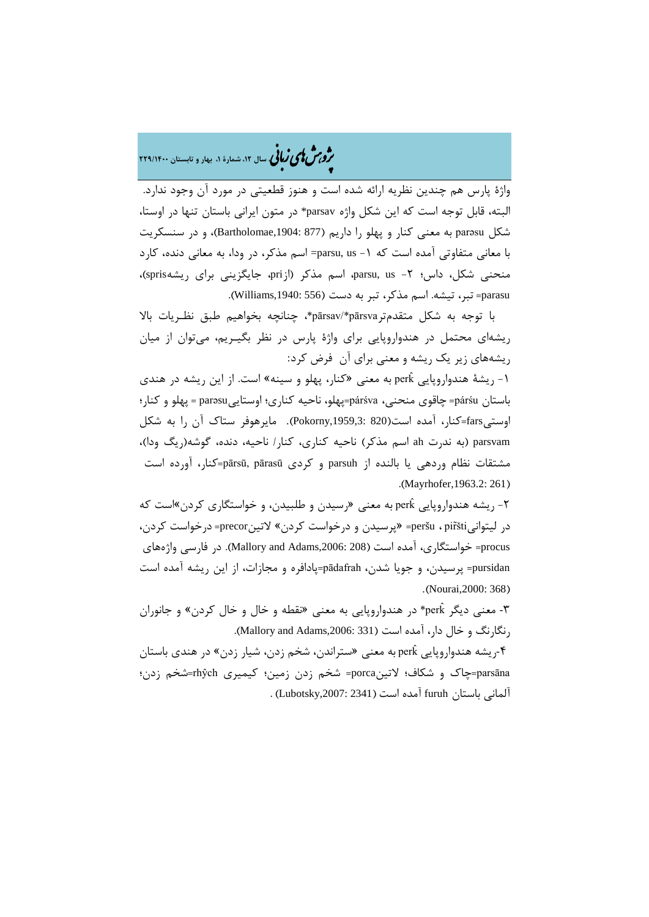# ه<br>مردیمش کامی *ن*مانی سال ۱۲، شمارهٔ ۱، بهار و تابستان ۲۲۹/۱۴۰۰

واژة پارس هم چندین نظریه ارائه شده است و هنوز قطعیتی در مورد آن وجود ندارد. البته، قابل توجه است که این شکل واژه parsav \*در متون ایرانی باستان تنها در اوستا، شکل parǝsu به معنی کنار و پهلو را داریم (877 ,1904:Bartholomae(، و در سنسکریت با معانی متفاوتی آمده است که -1 us ,parsu =اسم مذکر، در ودا، به معانی دنده، کارد منحنی شکل، داس؛ ۲- parsu, us، اسم مذکر (ازpri، جایگزینی برای ریشهspris)، parasu= تبر، تیشه. اسم مذکر، تبر به دست (556 ;Williams,1940).

با توجه به شکل متقدمترpārsva\*/pārsav\*، چنانچه بخواهیم طبق نظـریات بالا ریشهاي محتمل در هندواروپایی براي واژة پارس در نظر بگیـریم، میتوان از میان ریشههاي زیر یک ریشه و معنی براي آن فرض کرد:

-1 ریشۀ هندواروپایی ̂perk به معنی «کنار، پهلو و سینه» است. از این ریشه در هندي باستان párśu =چاقوي منحنی، párśva=پهلو، ناحیه کناري؛ اوستاییparəsu = پهلو و کنار؛ اوستیfars=کنار، آمده است(820 ,1959,3:Pokorny(. مایرهوفر ستاك آن را به شکل parsvam) به ندرت ah اسم مذکر) ناحیه کناري، کنار/ ناحیه، دنده، گوشه(ریگ ودا)، مشتقات نظام وردهی یا بالنده از parsuh و کردي pārasū ,pārsū=کنار، آورده است .(Mayrhofer,1963.2: 261)

-2 ریشه هندواروپایی ̂perk به معنی «رسیدن و طلبیدن، و خواستگاري کردن»است که در لیتوانیšti͂pir ، peršu» =پرسیدن و درخواست کردن» لاتینprecor =درخواست کردن، procus =خواستگاري، آمده است (208 ,2006:Adams and Mallory(. در فارسی واژههاي pursidan =پرسیدن، و جویا شدن، pādafrah=پادافره و مجازات، از این ریشه آمده است .(Nourai,2000: 368)

-3 معنی دیگر ̂perk \*در هندواروپایی به معنی «نقطه و خال و خال کردن» و جانوران رنگارنگ و خال دار، آمده است (331 ;Mallory and Adams,2006).

-4ریشه هندواروپایی ̂perk به معنی «ستراندن، شخم زدن، شیار زدن» در هندي باستان parsāna=چاك و شکاف؛ لاتینporca =شخم زدن زمین؛ کیمیري rhŷch=شخم زدن؛ آلمانی باستان furuh آمده است (2341 ,2007:Lubotsky (.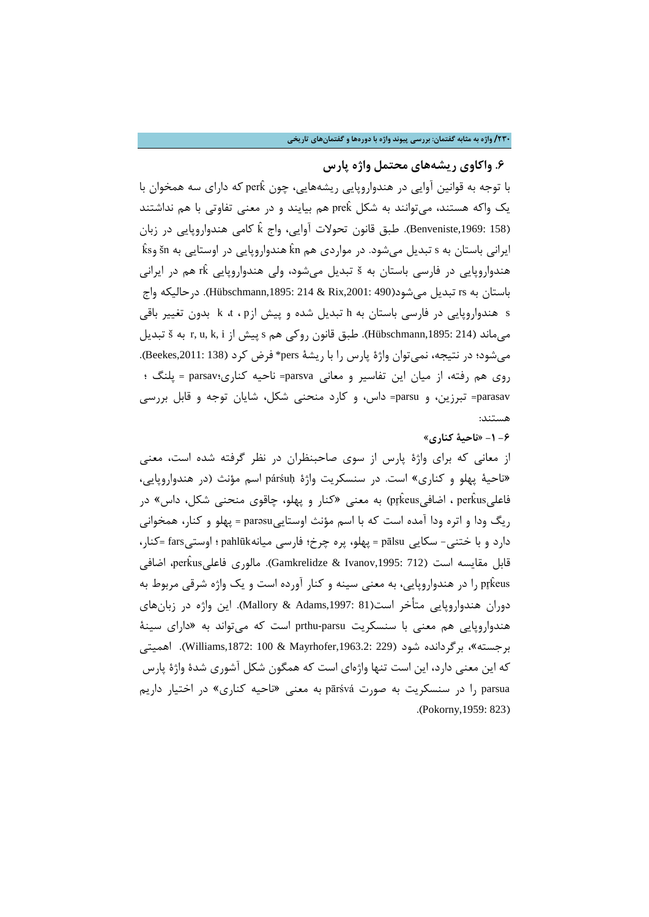## **/230 واژه به مثابه گفتمان: بررسی پیوند واژه با دورهها و گفتمانهاي تاریخی**

**.6 واکاوي ریشههاي محتمل واژه پارس**

با ̂ که داراي سه همخوان با توجه به قوانین آوایی در هندواروپایی ریشههایی، چون perk یک واکه هستند، میتوانند به شکل prek هم بیایند و در معنی تفاوتی با هم نداشتند (158 :Benveniste,1969). طبق قانون تحولات آوایی، واج k كامی هندواروپایی در زبان  $\mathrm{\hat{k}}$ s یرانی باستان به s تبدیل میشود. در مواردی هم kn هندواروپایی در اوستایی به šn هندواروپایی در فارسی باستان به <sup>š</sup> تبدیل میشود، ولی هندواروپایی ̂rk هم در ایرانی باستان به rs تبدیل میشود(490 ,2001:Rix & 214 ,1895:Hübschmann(. درحالیکه واج s هندواروپایی در فارسی باستان به h تبدیل شده و پیش ازp ، t، k بدون تغییر باقی میماند (214 ,1895:Hübschmann(. طبق قانون روکی هم s پیش از i ,k ,u ,r به š تبدیل میشود؛ در نتیجه، نمیتوان واژة پارس را با ریشۀ pers \*فرض کرد (138 ,2011:Beekes(. روي هم رفته، از میان این تفاسیر و معانی parsva =ناحیه کناري؛parsav = پلنگ ؛ parasav =تبرزین، و parsu =داس، و کارد منحنی شکل، شایان توجه و قابل بررسی هستند:

**-6 -1 «ناحیۀ کناري»**

از معانی که براي واژة پارس از سوي صاحبنظران در نظر گرفته شده است، معنی «ناحیۀ پهلو و کناري» است. در سنسکریت واژة párśuḥ اسم مؤنث (در هندواروپایی، فاعلیperkus ، اضافیpr̥keus) به معنی «کنار و پهلو، چاقوی منحنی شکل، داس» در ریگ ودا و اتره ودا آمده است که با اسم مؤنث اوستاییparǝsu = پهلو و کنار، همخوانی دارد و با ختنی- سکایی pālsu = پهلو، پره چرخ؛ فارسی میانهpahlūk ؛ اوستیfars= کنار، قابل مقایسه است (712 :Gamkrelidze & Ivanov,1995). مالوری فاعلیperkus اضافی pr̥keus را در هندواروپایی، به معنی سینه و کنار آورده است و یک واژه شرقی مربوط به دوران هندواروپایی متأخر است(81 ,1997:Adams & Mallory(. این واژه در زبانهاي هندواروپایی هم معنی با سنسکریت parsu-prthu است که میتواند به «داراي سینۀ بر جسته»، برگردانده شود (229 ,Williams,1872: 100 & Mayrhofer,1963.2). اهمیتی که این معنی دارد، این است تنها واژهاي است که همگون شکل آشوري شدة واژة پارس parsua را در سنسکریت به صورت pārśvá به معنی «ناحیه کناري» در اختیار داریم .(Pokorny,1959: 823)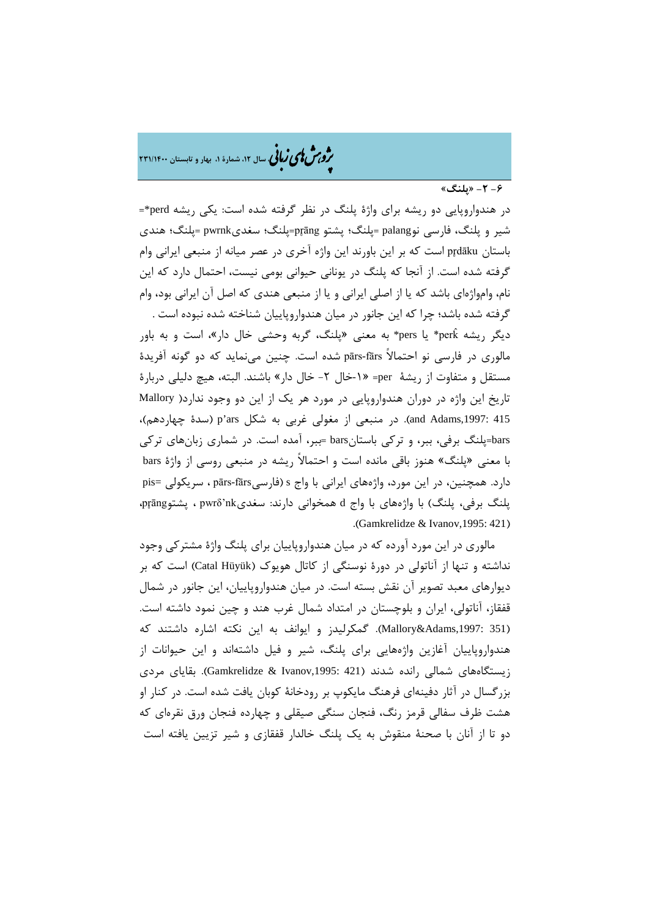م**روبش لمی زبانی** سال ۱۲ شمارهٔ ۱، بهار و تابستان ۲۳۱/۱۴۰۰

**-6 -2 «پلنگ»**

در هندواروپایی دو ریشه براي واژة پلنگ در نظر گرفته شده است: یکی ریشه perd=\* شیر و پلنگ، فارسی نوpalang= پلنگ؛ پشتو āng̥pr=پلنگ؛ سغديpwrnk= پلنگ؛ هندي باستان dāku̥pr است که بر این باورند این واژه آخري در عصر میانه از منبعی ایرانی وام گرفته شده است. از آنجا که پلنگ در یونانی حیوانی بومی نیست، احتمال دارد که این نام، وامواژهاي باشد که یا از اصلی ایرانی و یا از منبعی هندي که اصل آن ایرانی بود، وام گرفته شده باشد؛ چرا که این جانور در میان هندواروپاییان شناخته شده نبوده است . دیگر ریشه perk\* یا pers\* به معنی «پلنگ، گربه وحشی خال دار»، است و به باور مالوري در فارسی نو احتمالاً fārs-pārs شده است. چنین مینماید که دو گونه آفریدة مستقل و متفاوت از ریشۀ per» =-1خال -2 خال دار» باشند. البته، هیچ دلیلی دربارة تاریخ این واژه در دوران هندواروپایی در مورد هر یک از این دو وجود ندارد( Mallory 415 ,1997:Adams and(. در منبعی از مغولی غربی به شکل ars'p) سدة چهاردهم)، bars=پلنگ برفی، ببر، و ترکی باستانbars= ببر، آمده است. در شماري زبانهاي ترکی با معنی «پلنگ» هنوز باقی مانده است و احتمالاً ریشه در منبعی روسی از واژة bars دارد. همچنین، در این مورد، واژههاي ایرانی با واج s) فارسیfārs-pārs ، سریکولی =pis پلنگ برفی، پلنگ) با واژههاي با واج d همخوانی دارند: سغديnk'pwrδ ، پشتوāng̥pr، .(Gamkrelidze & Ivanov,1995: 421)

مالوري در این مورد آورده که در میان هندواروپاییان براي پلنگ واژة مشترکی وجود نداشته و تنها از آناتولی در دورة نوسنگی از کاتال هویوك (Hüyük Catal (است که بر دیوارهاي معبد تصویر آن نقش بسته است. در میان هندواروپاییان، این جانور در شمال قفقاز، آناتولی، ایران و بلوچستان در امتداد شمال غرب هند و چین نمود داشته است. (Mallory&Adams,1997: 351). گمکرلیدز و ایوانف به این نکته اشاره داشتند که هندواروپاییان آغازین واژههایی براي پلنگ، شیر و فیل داشتهاند و این حیوانات از زیستگاههای شمالی رانده شدند (421 :Gamkrelidze & Ivanov,1995). بقایای مردی بزرگسال در آثار دفینهاي فرهنگ مایکوپ بر رودخانۀ کوبان یافت شده است. در کنار او هشت ظرف سفالی قرمز رنگ، فنجان سنگی صیقلی و چهارده فنجان ورق نقرهاي که دو تا از آنان با صحنۀ منقوش به یک پلنگ خالدار قفقازي و شیر تزیین یافته است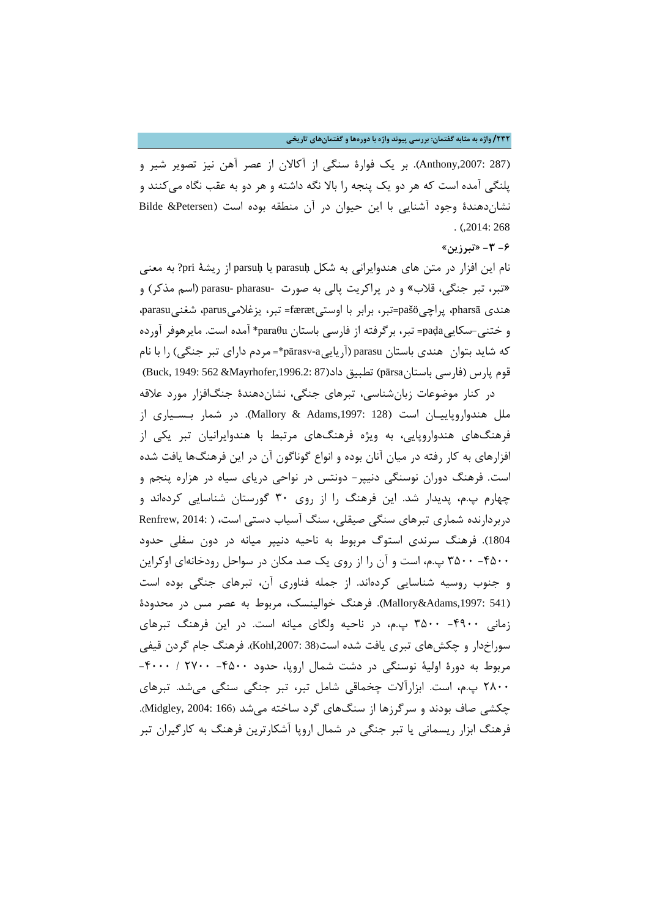**/232 واژه به مثابه گفتمان: بررسی پیوند واژه با دورهها و گفتمانهاي تاریخی**

(287 ,2007:Anthony(. بر یک فوارة سنگی از آکالان از عصر آهن نیز تصویر شیر و پلنگی آمده است که هر دو یک پنجه را بالا نگه داشته و هر دو به عقب نگاه میکنند و نشاندهندة وجود آشنایی با این حیوان در آن منطقه بوده است (Petersen &Bilde . (,2014: 268

## **-6 -3 «تبرزین»**

نام این افزار در متن هاي هندوایرانی به شکل parasuḥ یا parsuḥ از ریشۀ pri ?به معنی «تبر، تبر جنگی، قلاب» و در پراکریت پالی به صورت -pharasu -parasu) اسم مذکر) و هندي pharsā، پراچیpašö=تبر، برابر با اوستیfæræt =تبر، یزغلامیparus، شغنیparasu، و ختنی-سکاییpaḍa =تبر، برگرفته از فارسی باستان paraθu \*آمده است. مایرهوفر آورده که شاید بتوان هندي باستان parasu) آریاییa-pārasv =\*مردم داراي تبر جنگی) را با نام قوم پارس (فارسی باستان pārsa) تطبیق داد(87 :67 ,1996.2:Mayrhofer &562 &Mayrhofer )

در کنار موضوعات زبانشناسی، تبرهاي جنگی، نشاندهندة جنگافزار مورد علاقه ملل هندواروپاییـان است (128 ,1997:Adams & Mallory(. در شمار بـسـیاري از فرهنگهاي هندواروپایی، به ویژه فرهنگهاي مرتبط با هندوایرانیان تبر یکی از افزارهاي به کار رفته در میان آنان بوده و انواع گوناگون آن در این فرهنگها یافت شده است. فرهنگ دوران نوسنگی دنیپر- دونتس در نواحی دریاي سیاه در هزاره پنجم و چهارم پ.م، پدیدار شد. این فرهنگ را از روي 30 گورستان شناسایی کردهاند و دربردارنده شماري تبرهاي سنگی صیقلی، سنگ آسیاب دستی است، ( 2014: ,Renfrew 1804). فرهنگ سرندي استوگ مربوط به ناحیه دنیپر میانه در دون سفلی حدود -4500 3500 پ.م، است و آن را از روي یک صد مکان در سواحل رودخانهاي اوکراین و جنوب روسیه شناسایی کردهاند. از جمله فناوري آن، تبرهاي جنگی بوده است (Mallory&Adams,1997: 541). فرهنگ خوالینسک، مربوط به عصر مس در محدودهٔ زمانی -4900 3500 پ.م، در ناحیه ولگاي میانه است. در این فرهنگ تبرهاي سوراخدار و چکشهاي تبري یافت شده است(38 ,2007:Kohl(. فرهنگ جام گردن قیفی مربوط به دورة اولیۀ نوسنگی در دشت شمال اروپا، حدود -4500 2700 / -4000 2800 پ.م، است. ابزارآلات چخماقی شامل تبر، تبر جنگی سنگی میشد. تبرهاي چکشی صاف بودند و سرگرزها از سنگهاي گرد ساخته میشد (166 2004: ,Midgley(. فرهنگ ابزار ریسمانی یا تبر جنگی در شمال اروپا آشکارترین فرهنگ به کارگیران تبر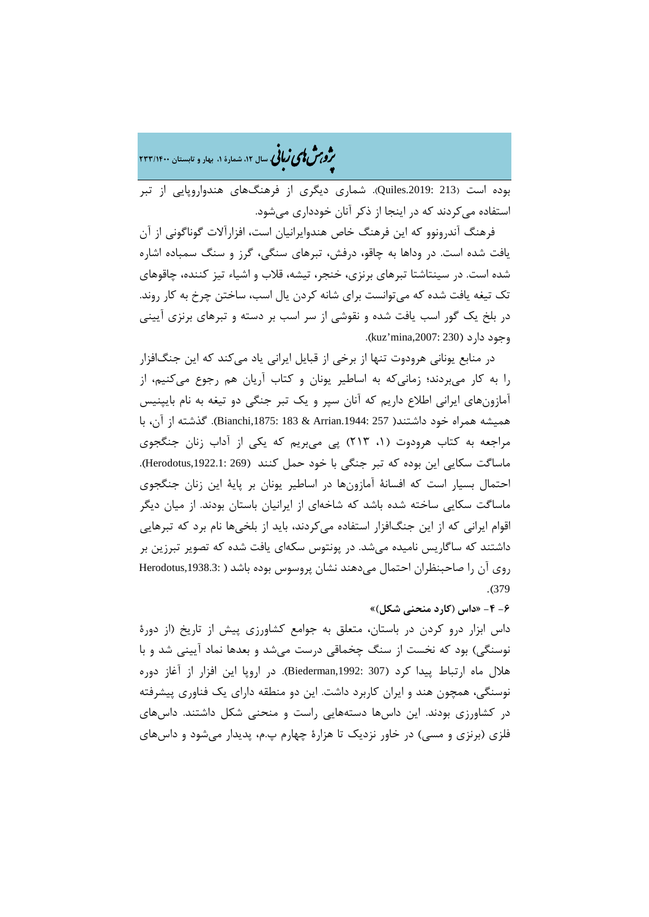�ی زبا **، سال ،12 شمارة ،1 بهار و تابستان 233/1400** � �و ی �ش

بوده است (213 .2019:Quiles(. شماري دیگري از فرهنگهاي هندواروپایی از تبر استفاده میکردند که در اینجا از ذکر آنان خودداري میشود.

فرهنگ آندرونوو که این فرهنگ خاص هندوایرانیان است، افزارآلات گوناگونی از آن یافت شده است. در وداها به چاقو، درفش، تبرهاي سنگی، گرز و سنگ سمباده اشاره شده است. در سینتاشتا تبرهاي برنزي، خنجر، تیشه، قلاب و اشیاء تیز کننده، چاقوهاي تک تیغه یافت شده که میتوانست براي شانه کردن یال اسب، ساختن چرخ به کار روند. در بلخ یک گور اسب یافت شده و نقوشی از سر اسب بر دسته و تبرهاي برنزي آیینی وجود دارد (230 ;kuz'mina,2007).

در منابع یونانی هرودوت تنها از برخی از قبایل ایرانی یاد میکند که این جنگافزار را به کار میبردند؛ زمانیکه به اساطیر یونان و کتاب آریان هم رجوع میکنیم، از آمازونهاي ایرانی اطلاع داریم که آنان سپر و یک تبر جنگی دو تیغه به نام بایپنیس همیشه همراه خود داشتند( 257 .1944:Arrian & 183 ,1875:Bianchi(. گذشته از آن، با مراجعه به کتاب هرودوت (،1 213) پی میبریم که یکی از آداب زنان جنگجوي ماساگت سکایی این بوده که تبر جنگی با خود حمل کنند (269 ,1922.1:Herodotus(. احتمال بسیار است که افسانۀ آمازونها در اساطیر یونان بر پایۀ این زنان جنگجوي ماساگت سکایی ساخته شده باشد که شاخهاي از ایرانیان باستان بودند. از میان دیگر اقوام ایرانی که از این جنگافزار استفاده میکردند، باید از بلخیها نام برد که تبرهایی داشتند که ساگاریس نامیده میشد. در پونتوس سکهاي یافت شده که تصویر تبرزین بر روي آن را صاحبنظران احتمال میدهند نشان پروسوس بوده باشد ( ,1938.3:Herodotus .(379

## **-6 -4 «داس (کارد منحنی شکل)»**

داس ابزار درو کردن در باستان، متعلق به جوامع کشاورزي پیش از تاریخ (از دورة نوسنگی) بود که نخست از سنگ چخماقی درست میشد و بعدها نماد آیینی شد و با هلال ماه ارتباط پیدا کرد (307 ,1992:Biederman(. در اروپا این افزار از آغاز دوره نوسنگی، همچون هند و ایران کاربرد داشت. این دو منطقه داراي یک فناوري پیشرفته در کشاورزي بودند. این داسها دستههایی راست و منحنی شکل داشتند. داسهاي فلزي (برنزي و مسی) در خاور نزدیک تا هزارة چهارم پ.م، پدیدار میشود و داسهاي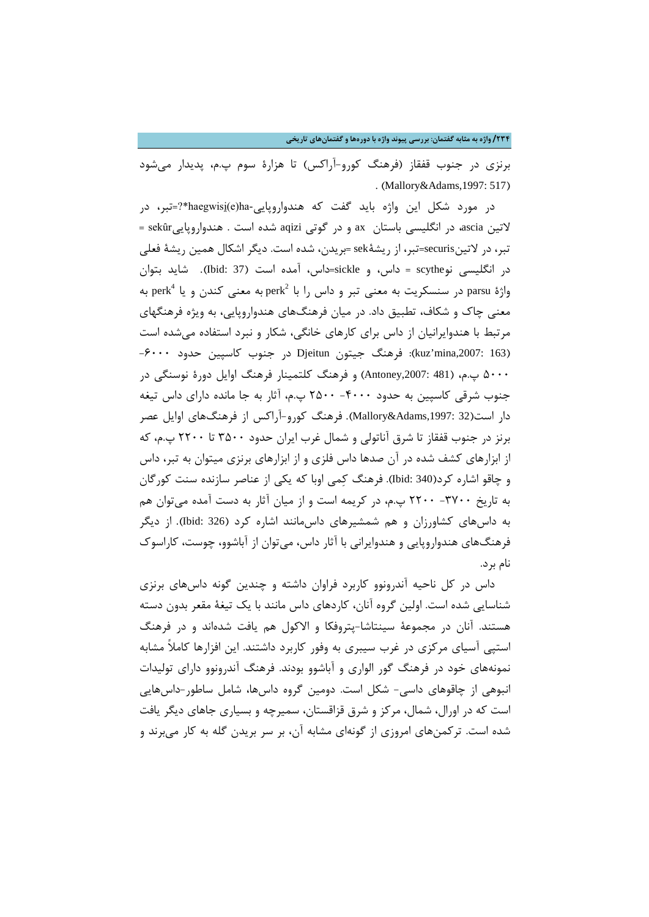**/234 واژه به مثابه گفتمان: بررسی پیوند واژه با دورهها و گفتمانهاي تاریخی**

برنزي در جنوب قفقاز (فرهنگ کورو-آراکس) تا هزارة سوم پ.م، پدیدار میشود . (Mallory&Adams,1997: 517)

در مورد شکل این واژه باید گفت که هندواروپایی-haegwisi̯(e)ha\*?=تبر، در لاتین ascia، در انگلیسی باستان ax و در گوتی aqizi شده است . هندواروپاییsekȗr= تبر، در لاتینsecuris=تبر، از ریشۀsek= بریدن، شده است. دیگر اشکال همین ریشۀ فعلی در انگلیسی نوscythe = داس، و sickle=داس، آمده است (37 :Ibid(. شاید بتوان به perk $^4$  به معنی تبر و داس را با perk $^2$  به معنی کندن و یا  $\rm{par}$  به به  $\rm{par}$  به معنی چاك و شکاف، تطبیق داد. در میان فرهنگهاي هندواروپایی، به ویژه فرهنگهاي مرتبط با هندوایرانیان از داس براي کارهاي خانگی، شکار و نبرد استفاده میشده است (163 ,2007:mina'kuz(: فرهنگ جیتون Djeitun در جنوب کاسپین حدود -6000 5000 پ.م، (481 ,2007:Antoney (و فرهنگ کلتمینار فرهنگ اوایل دورة نوسنگی در جنوب شرقی کاسپین به حدود -4000 2500 پ.م، آثار به جا مانده داراي داس تیغه دار است(32 ,1997:Adams&Mallory(. فرهنگ کورو-آراکس از فرهنگهاي اوایل عصر برنز در جنوب قفقاز تا شرق آناتولی و شمال غرب ایران حدود 3500 تا 2200 پ.م، که از ابزارهاي کشف شده در آن صدها داس فلزي و از ابزارهاي برنزي میتوان به تبر، داس و چاقو اشاره کرد(340 :Ibid(. فرهنگ کمی اوبا که یکی از عناصر سازنده سنت کورگان به تاریخ -3700 2200 پ.م، در کریمه است و از میان آثار به دست آمده میتوان هم به داسهاي کشاورزان و هم شمشیرهاي داسمانند اشاره کرد (326 :Ibid(. از دیگر فرهنگهاي هندواروپایی و هندوایرانی با آثار داس، میتوان از آباشوو، چوست، کاراسوك نام برد.

داس در کل ناحیه آندرونوو کاربرد فراوان داشته و چندین گونه داسهاي برنزي شناسایی شده است. اولین گروه آنان، کاردهاي داس مانند با یک تیغۀ مقعر بدون دسته هستند. آنان در مجموعۀ سینتاشا-پتروفکا و الاکول هم یافت شدهاند و در فرهنگ استپی آسیاي مرکزي در غرب سیبري به وفور کاربرد داشتند. این افزارها کاملاً مشابه نمونههاي خود در فرهنگ گور الواري و آباشوو بودند. فرهنگ آندرونوو داراي تولیدات انبوهی از چاقوهاي داسی- شکل است. دومین گروه داسها، شامل ساطور-داسهایی است که در اورال، شمال، مرکز و شرق قزاقستان، سمیرچه و بسیاري جاهاي دیگر یافت شده است. ترکمنهاي امروزي از گونهاي مشابه آن، بر سر بریدن گله به کار میبرند و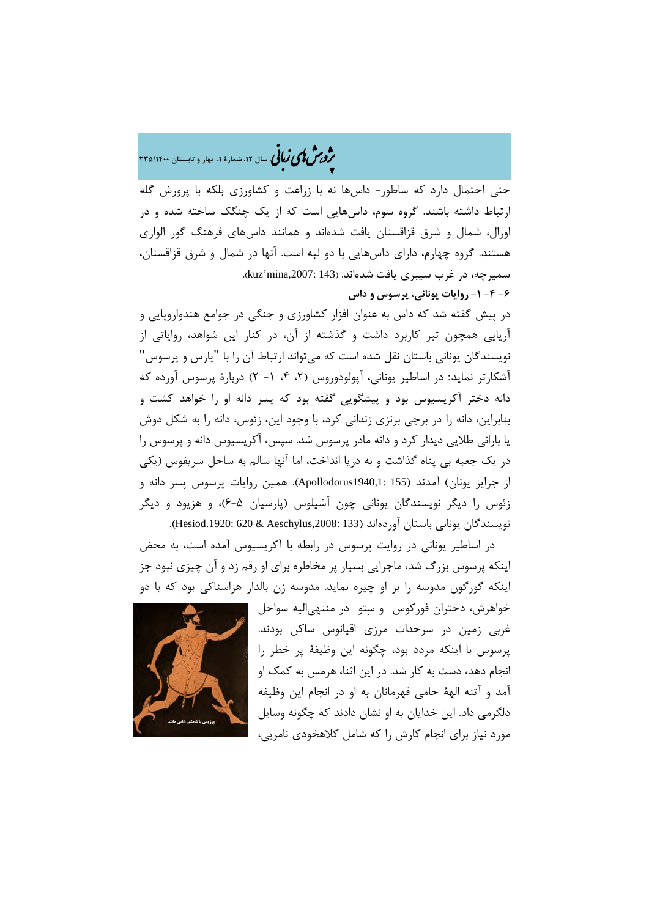�ی زبا **، سال ،12 شمارة ،1 بهار و تابستان 235/1400** � �و ی �ش

حتی احتمال دارد که ساطور- داسها نه با زراعت و کشاورزي بلکه با پرورش گله ارتباط داشته باشند. گروه سوم، داسهایی است که از یک چنگک ساخته شده و در اورال، شمال و شرق قزاقستان یافت شدهاند و همانند داسهاي فرهنگ گور الواري هستند. گروه چهارم، داراي داسهایی با دو لبه است. آنها در شمال و شرق قزاقستان، سمیرچه، در غرب سیبری یافت شدهاند. (143 :kuz'mina,2007).

**-6 -4 -1 روایات یونانی، پرسوس و داس**

در پیش گفته شد که داس به عنوان افزار کشاورزي و جنگی در جوامع هندواروپایی و آریایی همچون تبر کاربرد داشت و گذشته از آن، در کنار این شواهد، روایاتی از نویسندگان یونانی باستان نقل شده است که میتواند ارتباط آن را با "پارس و پرسوس" آشکارتر نماید: در اساطیر یونانی، آپولودوروس (،2 ،4 -1 2) دربارة پرسوس آورده که دانه دختر آکریسیوس بود و پیشگویی گفته بود که پسر دانه او را خواهد کشت و بنابراین، دانه را در برجی برنزي زندانی کرد، با وجود این، زئوس، دانه را به شکل دوش یا بارانی طلایی دیدار کرد و دانه مادر پرسوس شد. سپس، آکریسیوس دانه و پرسوس را در یک جعبه بی پناه گذاشت و به دریا انداخت، اما آنها سالم به ساحل سریفوس (یکی از جزایز یونان) آمدند (155 1940,1:Apollodorus(. همین روایات پرسوس پسر دانه و زئوس را دیگر نویسندگان یونانی چون آشیلوس (پارسیان 6-5)، و هزیود و دیگر نویسندگان یونانی باستان آوردهاند (133 :3008:Aeschylus ـ1920).

در اساطیر یونانی در روایت پرسوس در رابطه با آکریسیوس آمده است، به محض اینکه پرسوس بزرگ شد، ماجرایی بسیار پر مخاطره براي او رقم زد و آن چیزي نبود جز اینکه گورگون مدوسه را بر او چیره نماید. مدوسه زن بالدار هراسناکی بود که با دو



خواهرش، دختران فورکوس و ستو در منتهیالیه سواحل غربی زمین در سرحدات مرزي اقیانوس ساکن بودند. پرسوس با اینکه مردد بود، چگونه این وظیفۀ پر خطر را انجام دهد، دست به کار شد. در این اثنا، هرمس به کمک او آمد و آتنه الهۀ حامی قهرمانان به او در انجام این وظیفه دلگرمی داد. این خدایان به او نشان دادند که چگونه وسایل مورد نیاز براي انجام کارش را که شامل کلاهخودي نامریی،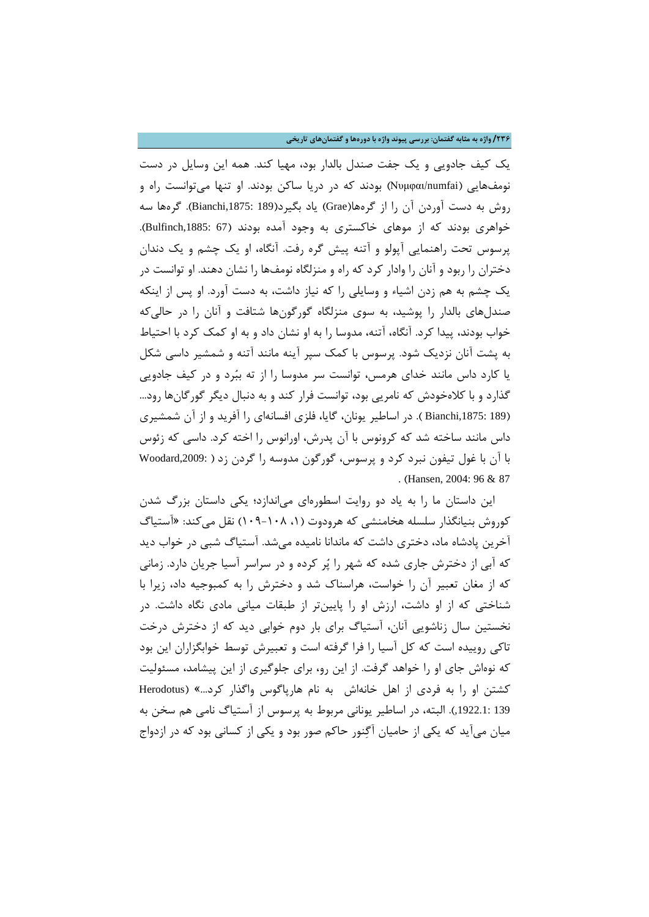**/236 واژه به مثابه گفتمان: بررسی پیوند واژه با دورهها و گفتمانهاي تاریخی**

یک کیف جادویی و یک جفت صندل بالدار بود، مهیا کند. همه این وسایل در دست نومفهایی (numfai/Νυμφαι (بودند که در دریا ساکن بودند. او تنها میتوانست راه و روش به دست آوردن آن را از گرهها(Grae (یاد بگیرد(189 ,1875:Bianchi(. گرهها سه خواهري بودند که از موهاي خاکستري به وجود آمده بودند (67 :Bulfinch,1885). پرسوس تحت راهنمایی آپولو و آتنه پیش گره رفت. آنگاه، او یک چشم و یک دندان دختران را ربود و آنان را وادار کرد که راه و منزلگاه نومفها را نشان دهند. او توانست در یک چشم به هم زدن اشیاء و وسایلی را که نیاز داشت، به دست آورد. او پس از اینکه صندلهاي بالدار را پوشید، به سوي منزلگاه گورگونها شتافت و آنان را در حالیکه خواب بودند، پیدا کرد. آنگاه، آتنه، مدوسا را به او نشان داد و به او کمک کرد با احتیاط به پشت آنان نزدیک شود. پرسوس با کمک سپر آینه مانند آتنه و شمشیر داسی شکل یا کارد داس مانند خداي هرمس، توانست سر مدوسا را از ته ببرد و در کیف جادویی گذارد و با کلاهخودش که نامریی بود، توانست فرار کند و به دنبال دیگر گورگانها رود... (189 ,Bianchi 1875). در اساطیر یونان، گایا، فلزي افسانهاي را آفرید و از آن شمشیري داس مانند ساخته شد که کرونوس با آن پدرش، اورانوس را اخته کرد. داسی که زئوس با آن با غول تیفون نبرد کرد و پرسوس، گورگون مدوسه را گردن زد ( ,2009:Woodard . (Hansen, 2004: 96 & 87

این داستان ما را به یاد دو روایت اسطورهاي میاندازد؛ یکی داستان بزرگ شدن کوروش بنیانگذار سلسله هخامنشی که هرودوت (،1 109-108) نقل میکند: «آستیاگ آخرین پادشاه ماد، دختري داشت که ماندانا نامیده میشد. آستیاگ شبی در خواب دید که آبی از دخترش جاري شده که شهر را پر کرده و در سراسر آسیا جریان دارد. زمانی که از مغان تعبیر آن را خواست، هراسناك شد و دخترش را به کمبوجیه داد، زیرا با شناختی که از او داشت، ارزش او را پایینتر از طبقات میانی مادي نگاه داشت. در نخستین سال زناشویی آنان، آستیاگ براي بار دوم خوابی دید که از دخترش درخت تاکی روییده است که کل آسیا را فرا گرفته است و تعبیرش توسط خوابگزاران این بود که نوهاش جاي او را خواهد گرفت. از این رو، براي جلوگیري از این پیشامد، مسئولیت کشتن او را به فردي از اهل خانهاش به نام هارپاگوس واگذار کرد...» (Herodotus 139 ,1922.1:). البته، در اساطیر یونانی مربوط به پرسوس از آستیاگ نامی هم سخن به میان میآید که یکی از حامیان آگنور حاکم صور بود و یکی از کسانی بود که در ازدواج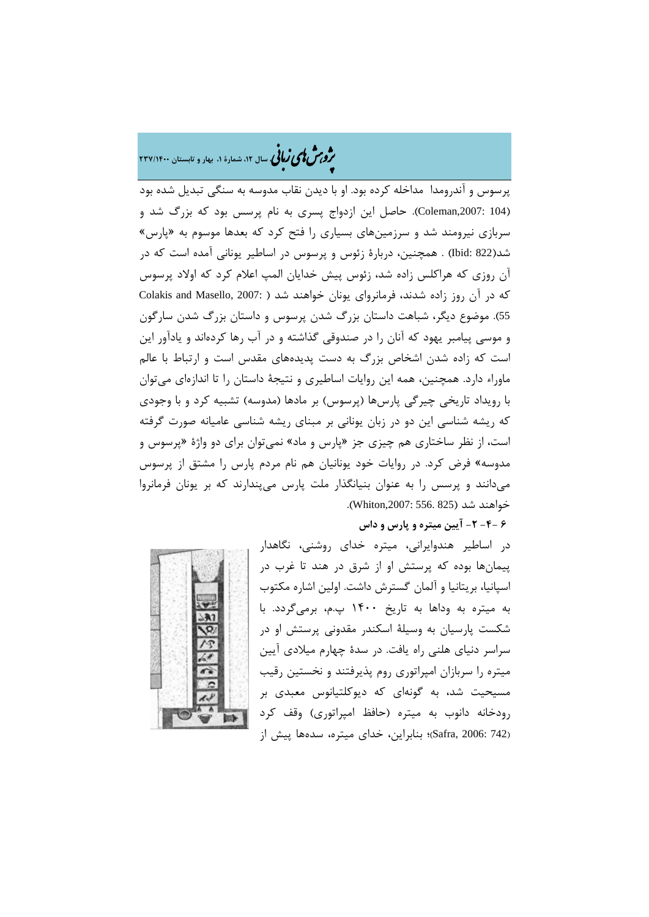## �ی زبا **، سال ،12 شمارة ،1 بهار و تابستان 237/1400** � �و ی �ش

پرسوس و آندرومدا مداخله کرده بود. او با دیدن نقاب مدوسه به سنگی تبدیل شده بود (104 ,2007:Coleman(. حاصل این ازدواج پسري به نام پرسس بود که بزرگ شد و سربازي نیرومند شد و سرزمینهاي بسیاري را فتح کرد که بعدها موسوم به «پارس» شد(822 :Ibid (. همچنین، دربارة زئوس و پرسوس در اساطیر یونانی آمده است که در آن روزي که هراکلس زاده شد، زئوس پیش خدایان المپ اعلام کرد که اولاد پرسوس که در آن روز زاده شدند، فرمانروای یونان خواهند شد ( Colakis and Masello, 2007: ) 55). موضوع دیگر، شباهت داستان بزرگ شدن پرسوس و داستان بزرگ شدن سارگون و موسی پیامبر یهود که آنان را در صندوقی گذاشته و در آب رها کردهاند و یادآور این است که زاده شدن اشخاص بزرگ به دست پدیدههاي مقدس است و ارتباط با عالم ماوراء دارد. همچنین، همه این روایات اساطیري و نتیجۀ داستان را تا اندازهاي میتوان با رویداد تاریخی چیرگی پارسها (پرسوس) بر مادها (مدوسه) تشبیه کرد و با وجودي که ریشه شناسی این دو در زبان یونانی بر مبناي ریشه شناسی عامیانه صورت گرفته است، از نظر ساختاري هم چیزي جز «پارس و ماد» نمیتوان براي دو واژة «پرسوس و مدوسه» فرض کرد. در روایات خود یونانیان هم نام مردم پارس را مشتق از پرسوس میدانند و پرسس را به عنوان بنیانگذار ملت پارس میپندارند که بر یونان فرمانروا خواهند شد (Whiton,2007: 556. 825).

## **6 -4- -2 آیین میتره و پارس و داس**



در اساطیر هندوایرانی، میتره خداي روشنی، نگاهدار پیمانها بوده که پرستش او از شرق در هند تا غرب در اسپانیا، بریتانیا و آلمان گسترش داشت. اولین اشاره مکتوب به میتره به وداها به تاریخ 1400 پ.م، برمیگردد. با شکست پارسیان به وسیلۀ اسکندر مقدونی پرستش او در سراسر دنیاي هلنی راه یافت. در سدة چهارم میلادي آیین میتره را سربازان امپراتوري روم پذیرفتند و نخستین رقیب مسیحیت شد، به گونهاي که دیوکلتیانوس معبدي بر رودخانه دانوب به میتره (حافظ امپراتوري) وقف کرد (742 2006: ,Safra(؛ بنابراین، خداي میتره، سدهها پیش از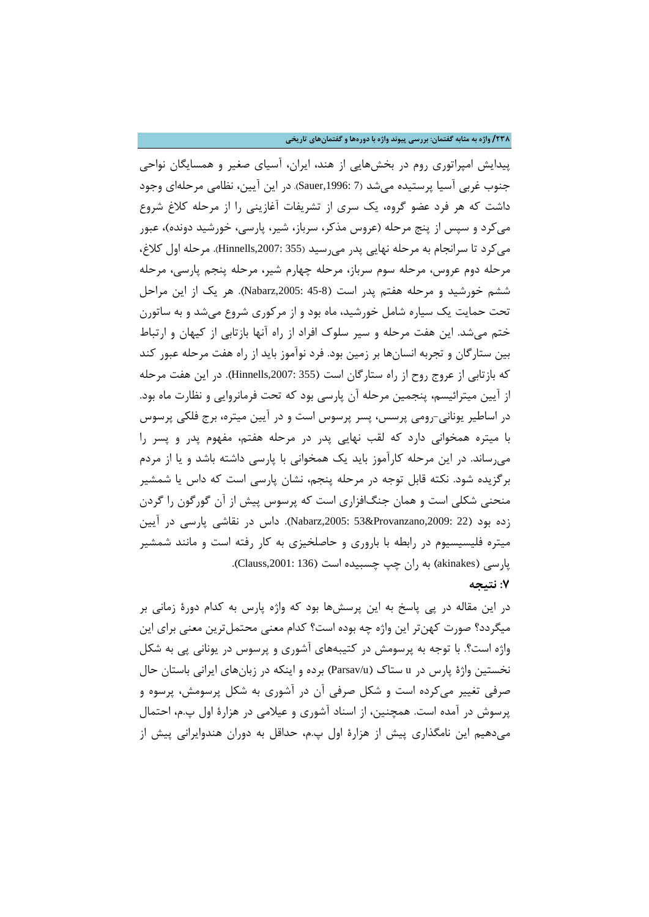**/238 واژه به مثابه گفتمان: بررسی پیوند واژه با دورهها و گفتمانهاي تاریخی**

پیدایش امپراتوري روم در بخشهایی از هند، ایران، آسیاي صغیر و همسایگان نواحی جنوب غربی آسیا پرستیده میشد (7 ,1996:Sauer(. در این آیین، نظامی مرحلهاي وجود داشت که هر فرد عضو گروه، یک سري از تشریفات آغازینی را از مرحله کلاغ شروع میکرد و سپس از پنج مرحله (عروس مذکر، سرباز، شیر، پارسی، خورشید دونده)، عبور میکرد تا سرانجام به مرحله نهایی پدر میرسید (355 ,2007:Hinnells(. مرحله اول کلاغ، مرحله دوم عروس، مرحله سوم سرباز، مرحله چهارم شیر، مرحله پنجم پارسی، مرحله ششم خورشید و مرحله هفتم پدر است (45-8 ,2005:Nabarz(. هر یک از این مراحل تحت حمایت یک سیاره شامل خورشید، ماه بود و از مرکوري شروع میشد و به ساتورن ختم میشد. این هفت مرحله و سیر سلوك افراد از راه آنها بازتابی از کیهان و ارتباط بین ستارگان و تجربه انسانها بر زمین بود. فرد نوآموز باید از راه هفت مرحله عبور کند که بازتابی از عروج روح از راه ستارگان است (355 ,2007:Hinnells(. در این هفت مرحله از آیین میترائیسم، پنجمین مرحله آن پارسی بود که تحت فرمانروایی و نظارت ماه بود. در اساطیر یونانی-رومی پرسس، پسر پرسوس است و در آیین میتره، برج فلکی پرسوس با میتره همخوانی دارد که لقب نهایی پدر در مرحله هفتم، مفهوم پدر و پسر را میرساند. در این مرحله کارآموز باید یک همخوانی با پارسی داشته باشد و یا از مردم برگزیده شود. نکته قابل توجه در مرحله پنجم، نشان پارسی است که داس یا شمشیر منحنی شکلی است و همان جنگافزاري است که پرسوس پیش از آن گورگون را گردن زده بود (22 ;Nabarz,2005: 53&Provanzano,2009: داس در نقاشی پارسی در آیین میتره فلیسیسیوم در رابطه با باروري و حاصلخیزي به کار رفته است و مانند شمشیر پارسی (akinakes) به ران چپ چسبیده است (136 :Clauss,2001).

### **:7 نتیجه**

در این مقاله در پی پاسخ به این پرسشها بود که واژه پارس به کدام دورة زمانی بر میگردد؟ صورت کهنتر این واژه چه بوده است؟ کدام معنی محتملترین معنی براي این واژه است؟. با توجه به پرسومش در کتیبههاي آشوري و پرسوس در یونانی پی به شکل نخستین واژة پارس در u ستاك (u/Parsav (برده و اینکه در زبانهاي ایرانی باستان حال صرفی تغییر میکرده است و شکل صرفی آن در آشوری به شکل پرسومش، پرسوه و پرسوش در آمده است. همچنین، از اسناد آشوري و عیلامی در هزارة اول پ.م، احتمال میدهیم این نامگذاري پیش از هزارة اول پ.م، حداقل به دوران هندوایرانی پیش از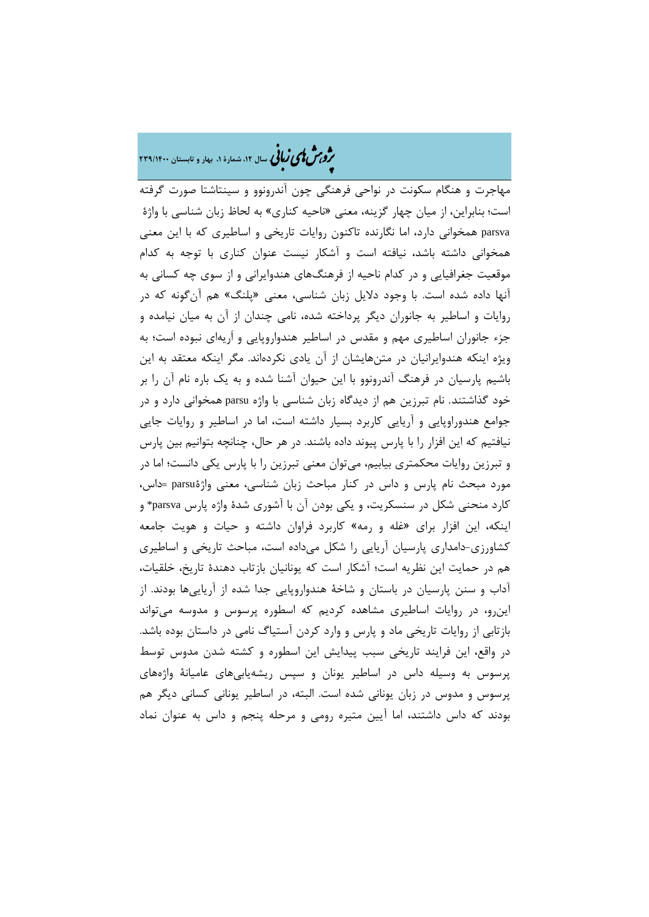## ه م**شملی زبانی** سال ۱۲، شمارهٔ ۱، بهار و تابستان ۲۳۹/۱۴۰۰

مهاجرت و هنگام سکونت در نواحی فرهنگی چون آندرونوو و سینتاشتا صورت گرفته است؛ بنابراین، از میان چهار گزینه، معنی «ناحیه کناري» به لحاظ زبان شناسی با واژة parsva همخوانی دارد، اما نگارنده تاکنون روایات تاریخی و اساطیري که با این معنی همخوانی داشته باشد، نیافته است و آشکار نیست عنوان کناري با توجه به کدام موقعیت جغرافیایی و در کدام ناحیه از فرهنگهاي هندوایرانی و از سوي چه کسانی به آنها داده شده است. با وجود دلایل زبان شناسی، معنی «پلنگ» هم آنگونه که در روایات و اساطیر به جانوران دیگر پرداخته شده، نامی چندان از آن به میان نیامده و جزء جانوران اساطیري مهم و مقدس در اساطیر هندواروپایی و اَریهاي نبوده است؛ به ویژه اینکه هندوایرانیان در متنهایشان از آن یادي نکردهاند. مگر اینکه معتقد به این باشیم پارسیان در فرهنگ آندرونوو با این حیوان آشنا شده و به یک باره نام آن را بر خود گذاشتند. نام تبرزین هم از دیدگاه زبان شناسی با واژه parsu همخوانی دارد و در جوامع هندوراوپایی و آریایی کاربرد بسیار داشته است، اما در اساطیر و روایات جایی نیافتیم که این افزار را با پارس پیوند داده باشند. در هر حال، چنانچه بتوانیم بین پارس و تبرزین روایات محکمتري بیابیم، میتوان معنی تبرزین را با پارس یکی دانست؛ اما در مورد مبحث نام پارس و داس در کنار مباحث زبان شناسی، معنی واژةparsu= داس، کارد منحنی شکل در سنسکریت، و یکی بودن آن با آشوري شدة واژه پارس parsva \*و اینکه، این افزار براي «غله و رمه» کاربرد فراوان داشته و حیات و هویت جامعه کشاورزي-دامداري پارسیان آریایی را شکل میداده است، مباحث تاریخی و اساطیري هم در حمایت این نظریه است؛ آشکار است که یونانیان بازتاب دهندة تاریخ، خلقیات، آداب و سنن پارسیان در باستان و شاخۀ هندواروپایی جدا شده از آریاییها بودند. از اینرو، در روایات اساطیري مشاهده کردیم که اسطوره پرسوس و مدوسه میتواند بازتابی از روایات تاریخی ماد و پارس و وارد کردن آستیاگ نامی در داستان بوده باشد. در واقع، این فرایند تاریخی سبب پیدایش این اسطوره و کشته شدن مدوس توسط پرسوس به وسیله داس در اساطیر یونان و سپس ریشهیابیهاي عامیانۀ واژههاي پرسوس و مدوس در زبان یونانی شده است. البته، در اساطیر یونانی کسانی دیگر هم بودند که داس داشتند، اما آیین متیره رومی و مرحله پنجم و داس به عنوان نماد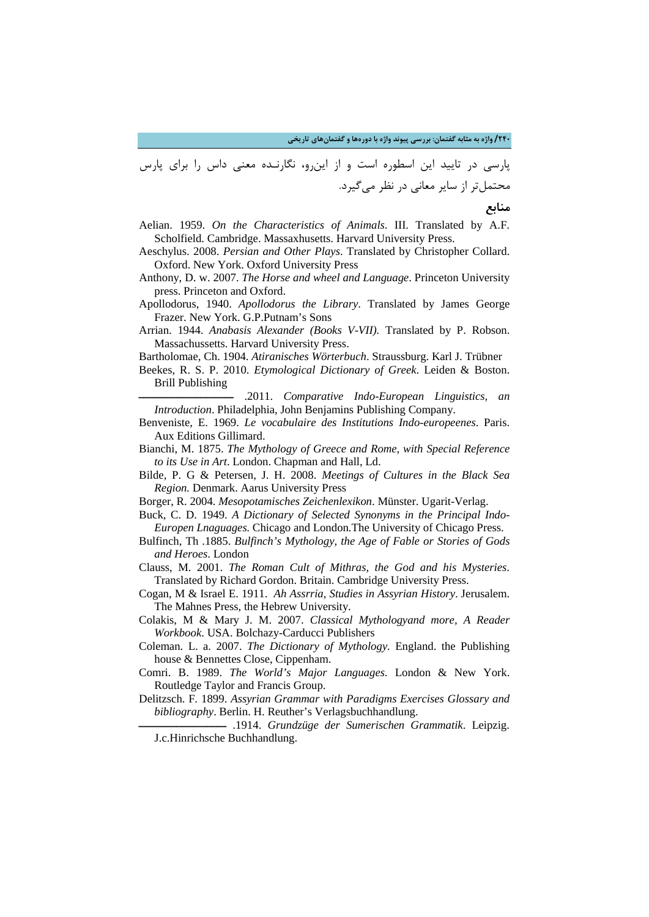**/240 واژه به مثابه گفتمان: بررسی پیوند واژه با دورهها و گفتمانهاي تاریخی**

پارسی در تایید این اسطوره است و از اینرو، نگارنـده معنی داس را براي پارس محتملتر از سایر معانی در نظر میگیرد.

**منابع** 

- Aelian. 1959. *On the Characteristics of Animals*. III. Translated by A.F. Scholfield. Cambridge. Massaxhusetts. Harvard University Press.
- Aeschylus. 2008. *Persian and Other Plays*. Translated by Christopher Collard. Oxford. New York. Oxford University Press
- Anthony, D. w. 2007. *The Horse and wheel and Language*. Princeton University press. Princeton and Oxford.
- Apollodorus, 1940. *Apollodorus the Library*. Translated by James George Frazer. New York. G.P.Putnam's Sons
- Arrian. 1944. *Anabasis Alexander (Books V-VII).* Translated by P. Robson. Massachussetts. Harvard University Press.
- Bartholomae, Ch. 1904. *Atiranisches Wörterbuch*. Straussburg. Karl J. Trübner
- Beekes, R. S. P. 2010. *Etymological Dictionary of Greek*. Leiden & Boston. Brill Publishing

ــــــــــــــــــــــــــــــــــــــــ .2011. *Comparative Indo-European Linguistics, an Introduction*. Philadelphia, John Benjamins Publishing Company.

- Benveniste, E. 1969. *Le vocabulaire des Institutions Indo-europeenes*. Paris. Aux Editions Gillimard.
- Bianchi, M. 1875. *The Mythology of Greece and Rome, with Special Reference to its Use in Art*. London. Chapman and Hall, Ld.
- Bilde, P. G & Petersen, J. H. 2008. *Meetings of Cultures in the Black Sea Region.* Denmark. Aarus University Press
- Borger, R. 2004. *Mesopotamisches Zeichenlexikon*. Münster. Ugarit-Verlag.
- Buck, C. D. 1949. *A Dictionary of Selected Synonyms in the Principal Indo-Europen Lnaguages.* Chicago and London*.*The University of Chicago Press.
- Bulfinch, Th .1885. *Bulfinch's Mythology, the Age of Fable or Stories of Gods and Heroes*. London
- Clauss, M. 2001. *The Roman Cult of Mithras, the God and his Mysteries*. Translated by Richard Gordon. Britain. Cambridge University Press.
- Cogan, M & Israel E. 1911. *Ah Assrria, Studies in Assyrian History*. Jerusalem. The Mahnes Press, the Hebrew University.
- Colakis, M & Mary J. M. 2007. *Classical Mythologyand more, A Reader Workbook*. USA. Bolchazy-Carducci Publishers
- Coleman. L. a. 2007. *The Dictionary of Mythology.* England. the Publishing house & Bennettes Close, Cippenham.
- Comri. B. 1989. *The World's Major Languages*. London & New York. Routledge Taylor and Francis Group.
- Delitzsch. F. 1899. *Assyrian Grammar with Paradigms Exercises Glossary and bibliography*. Berlin. H. Reuther's Verlagsbuchhandlung.
	- ـــــــــــــــــــــــــــــــــــــ .1914. *Grundzüge der Sumerischen Grammatik*. Leipzig. J.c.Hinrichsche Buchhandlung.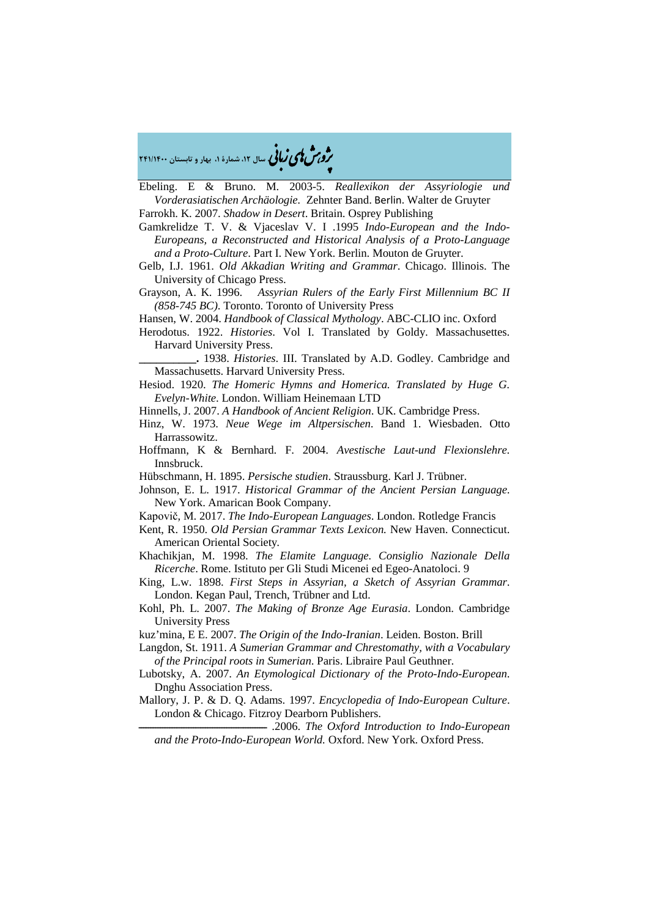�ی زبا **، سال ،12 شمارة ،1 بهار و تابستان 241/1400** � �و ی �ش

Ebeling. E & Bruno. M. 2003-5. *Reallexikon der Assyriologie und Vorderasiatischen Archäologie.* Zehnter Band. Berlin. Walter de Gruyter

Farrokh. K. 2007. *Shadow in Desert*. Britain. Osprey Publishing

Gamkrelidze T. V. & Vjaceslav V. I .1995 *Indo-European and the Indo-Europeans, a Reconstructed and Historical Analysis of a Proto-Language and a Proto-Culture*. Part I. New York. Berlin. Mouton de Gruyter.

- Gelb, I.J. 1961. *Old Akkadian Writing and Grammar*. Chicago. Illinois. The University of Chicago Press.
- Grayson, A. K. 1996. *Assyrian Rulers of the Early First Millennium BC II (858-745 BC)*. Toronto. Toronto of University Press

Hansen, W. 2004. *Handbook of Classical Mythology*. ABC-CLIO inc. Oxford

Herodotus. 1922. *Histories*. Vol I. Translated by Goldy. Massachusettes. Harvard University Press.

**\_\_\_\_\_\_\_\_\_\_.** 1938. *Histories*. III. Translated by A.D. Godley. Cambridge and Massachusetts. Harvard University Press.

Hesiod. 1920. *The Homeric Hymns and Homerica. Translated by Huge G. Evelyn-White*. London. William Heinemaan LTD

Hinnells, J. 2007. *A Handbook of Ancient Religion*. UK. Cambridge Press.

- Hinz, W. 1973. *Neue Wege im Altpersischen*. Band 1. Wiesbaden. Otto Harrassowitz.
- Hoffmann, K & Bernhard. F. 2004. *Avestische Laut-und Flexionslehre*. Innsbruck.
- Hübschmann, H. 1895. *Persische studien*. Straussburg. Karl J. Trübner.
- Johnson, E. L. 1917. *Historical Grammar of the Ancient Persian Language*. New York. Amarican Book Company.
- Kapovič, M. 2017. *The Indo-European Languages*. London. Rotledge Francis
- Kent, R. 1950. *Old Persian Grammar Texts Lexicon.* New Haven. Connecticut. American Oriental Society*.*
- Khachikjan, M. 1998. *The Elamite Language. Consiglio Nazionale Della Ricerche*. Rome. Istituto per Gli Studi Micenei ed Egeo-Anatoloci. 9
- King, L.w. 1898. *First Steps in Assyrian, a Sketch of Assyrian Grammar*. London. Kegan Paul, Trench, Trübner and Ltd.
- Kohl, Ph. L. 2007. *The Making of Bronze Age Eurasia*. London. Cambridge University Press
- kuz'mina, E E. 2007. *The Origin of the Indo-Iranian*. Leiden. Boston. Brill

Langdon, St. 1911. *A Sumerian Grammar and Chrestomathy, with a Vocabulary of the Principal roots in Sumerian*. Paris. Libraire Paul Geuthner.

- Lubotsky, A. 2007. *An Etymological Dictionary of the Proto-Indo-European*. Dnghu Association Press.
- Mallory, J. P. & D. Q. Adams. 1997. *Encyclopedia of Indo-European Culture*. London & Chicago. Fitzroy Dearborn Publishers.

ــــــــــــــــــــــــــــــــــــــــــــــــــــــ .2006. *The Oxford Introduction to Indo-European and the Proto-Indo-European World.* Oxford. New York. Oxford Press.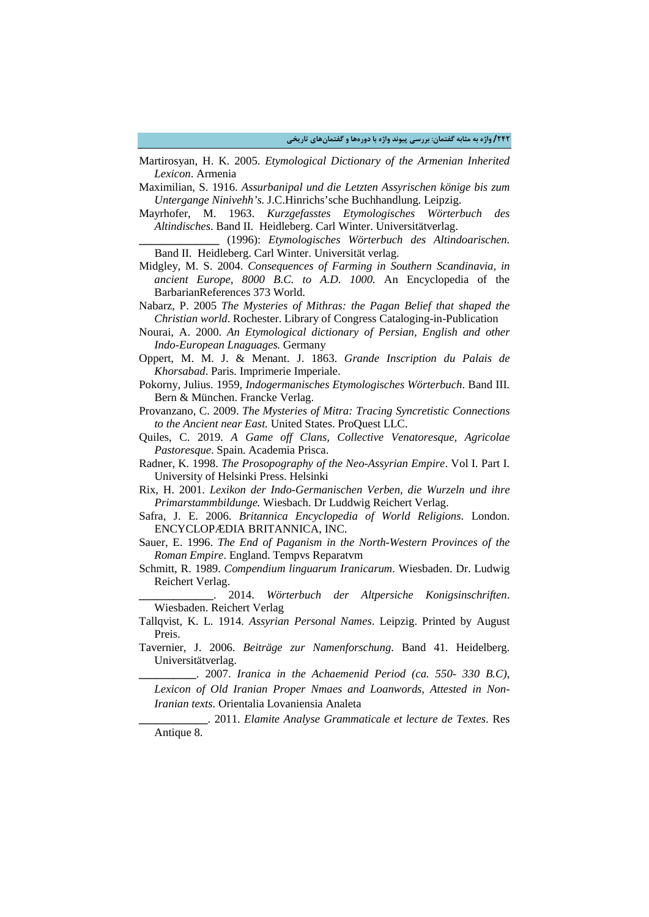- Martirosyan, H. K. 2005. *Etymological Dictionary of the Armenian Inherited Lexicon*. Armenia
- Maximilian, S. 1916. *Assurbanipal und die Letzten Assyrischen könige bis zum Untergange Ninivehh's.* J.C.Hinrichs'sche Buchhandlung. Leipzig.
- Mayrhofer, M. 1963. *Kurzgefasstes Etymologisches Wörterbuch des Altindisches*. Band II. Heidleberg. Carl Winter. Universitätverlag.
- **\_\_\_\_\_\_\_\_\_\_\_\_\_\_** (1996): *Etymologisches Wörterbuch des Altindoarischen*. Band II. Heidleberg. Carl Winter. Universität verlag.
- Midgley, M. S. 2004. *Consequences of Farming in Southern Scandinavia, in ancient Europe, 8000 B.C. to A.D. 1000.* An Encyclopedia of the BarbarianReferences 373 World.
- Nabarz, P. 2005 *The Mysteries of Mithras: the Pagan Belief that shaped the Christian world*. Rochester. Library of Congress Cataloging-in-Publication
- Nourai, A. 2000. *An Etymological dictionary of Persian, English and other Indo-European Lnaguages.* Germany
- Oppert, M. M. J. & Menant. J. 1863. *Grande Inscription du Palais de Khorsabad*. Paris. Imprimerie Imperiale.
- Pokorny, Julius. 1959, *Indogermanisches Etymologisches Wörterbuch*. Band III. Bern & München. Francke Verlag.
- Provanzano, C. 2009. *The Mysteries of Mitra: Tracing Syncretistic Connections to the Ancient near East.* United States. ProQuest LLC.
- Quiles, C. 2019. *A Game off Clans, Collective Venatoresque, Agricolae Pastoresque*. Spain. Academia Prisca.
- Radner, K. 1998. *The Prosopography of the Neo-Assyrian Empire*. Vol I. Part I. University of Helsinki Press. Helsinki
- Rix, H. 2001. *Lexikon der Indo-Germanischen Verben, die Wurzeln und ihre Primarstammbildunge.* Wiesbach. Dr Luddwig Reichert Verlag.
- Safra, J. E. 2006. *Britannica Encyclopedia of World Religions*. London. ENCYCLOPÆDIA BRITANNICA, INC.
- Sauer, E. 1996. *The End of Paganism in the North-Western Provinces of the Roman Empire*. England. Tempvs Reparatvm
- Schmitt, R. 1989. *Compendium linguarum Iranicarum*. Wiesbaden. Dr. Ludwig Reichert Verlag.
- **\_\_\_\_\_\_\_\_\_\_\_\_\_**. 2014. *Wörterbuch der Altpersiche Konigsinschriften*. Wiesbaden. Reichert Verlag
- Tallqvist, K. L. 1914. *Assyrian Personal Names*. Leipzig. Printed by August Preis.
- Tavernier, J. 2006. *Beiträge zur Namenforschung*. Band 41. Heidelberg. Universitätverlag.

**\_\_\_\_\_\_\_\_\_\_**. 2007. *Iranica in the Achaemenid Period (ca. 550- 330 B.C)*, *Lexicon of Old Iranian Proper Nmaes and Loanwords, Attested in Non-Iranian texts*. Orientalia Lovaniensia Analeta

**\_\_\_\_\_\_\_\_\_\_\_\_**. 2011. *Elamite Analyse Grammaticale et lecture de Textes*. Res Antique 8.